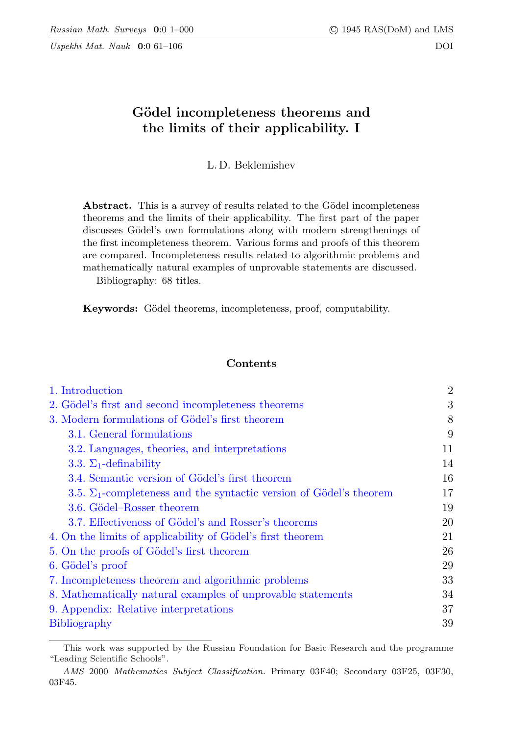Uspekhi Mat. Nauk 0:0 61–106 DOI

# Gödel incompleteness theorems and the limits of their applicability. I

L. D. Beklemishev

Abstract. This is a survey of results related to the Gödel incompleteness theorems and the limits of their applicability. The first part of the paper discusses Gödel's own formulations along with modern strengthenings of the first incompleteness theorem. Various forms and proofs of this theorem are compared. Incompleteness results related to algorithmic problems and mathematically natural examples of unprovable statements are discussed.

Bibliography: 68 titles.

Keywords: Gödel theorems, incompleteness, proof, computability.

## Contents

| 1. Introduction                                                            | $\overline{2}$ |
|----------------------------------------------------------------------------|----------------|
| 2. Gödel's first and second incompleteness theorems                        | 3              |
| 3. Modern formulations of Gödel's first theorem                            | 8              |
| 3.1. General formulations                                                  | 9              |
| 3.2. Languages, theories, and interpretations                              | 11             |
| 3.3. $\Sigma_1$ -definability                                              | 14             |
| 3.4. Semantic version of Gödel's first theorem                             | 16             |
| 3.5. $\Sigma_1$ -completeness and the syntactic version of Gödel's theorem | 17             |
| 3.6. Gödel-Rosser theorem                                                  | 19             |
| 3.7. Effectiveness of Gödel's and Rosser's theorems                        | 20             |
| 4. On the limits of applicability of Gödel's first theorem                 | 21             |
| 5. On the proofs of Gödel's first theorem                                  | 26             |
| 6. Gödel's proof                                                           | 29             |
| 7. Incompleteness theorem and algorithmic problems                         | 33             |
| 8. Mathematically natural examples of unprovable statements                | 34             |
| 9. Appendix: Relative interpretations                                      | 37             |
| <b>Bibliography</b>                                                        | 39             |

This work was supported by the Russian Foundation for Basic Research and the programme "Leading Scientific Schools".

AMS 2000 Mathematics Subject Classification. Primary 03F40; Secondary 03F25, 03F30, 03F45.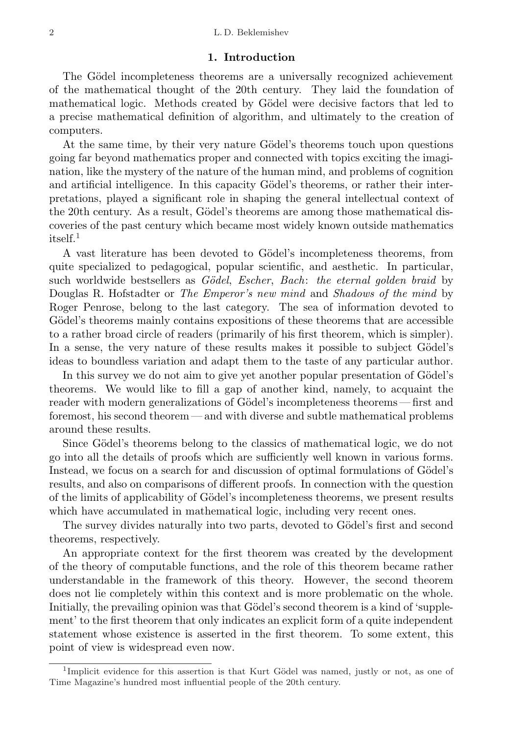#### 1. Introduction

<span id="page-1-0"></span>The Gödel incompleteness theorems are a universally recognized achievement of the mathematical thought of the 20th century. They laid the foundation of mathematical logic. Methods created by Gödel were decisive factors that led to a precise mathematical definition of algorithm, and ultimately to the creation of computers.

At the same time, by their very nature Gödel's theorems touch upon questions going far beyond mathematics proper and connected with topics exciting the imagination, like the mystery of the nature of the human mind, and problems of cognition and artificial intelligence. In this capacity Gödel's theorems, or rather their interpretations, played a significant role in shaping the general intellectual context of the 20th century. As a result, Gödel's theorems are among those mathematical discoveries of the past century which became most widely known outside mathematics itself $^1$  $^1$ 

A vast literature has been devoted to Gödel's incompleteness theorems, from quite specialized to pedagogical, popular scientific, and aesthetic. In particular, such worldwide bestsellers as Gödel, Escher, Bach: the eternal golden braid by Douglas R. Hofstadter or *The Emperor's new mind* and *Shadows of the mind* by Roger Penrose, belong to the last category. The sea of information devoted to Gödel's theorems mainly contains expositions of these theorems that are accessible to a rather broad circle of readers (primarily of his first theorem, which is simpler). In a sense, the very nature of these results makes it possible to subject Gödel's ideas to boundless variation and adapt them to the taste of any particular author.

In this survey we do not aim to give yet another popular presentation of Gödel's theorems. We would like to fill a gap of another kind, namely, to acquaint the reader with modern generalizations of Gödel's incompleteness theorems— first and foremost, his second theorem — and with diverse and subtle mathematical problems around these results.

Since Gödel's theorems belong to the classics of mathematical logic, we do not go into all the details of proofs which are sufficiently well known in various forms. Instead, we focus on a search for and discussion of optimal formulations of Gödel's results, and also on comparisons of different proofs. In connection with the question of the limits of applicability of Gödel's incompleteness theorems, we present results which have accumulated in mathematical logic, including very recent ones.

The survey divides naturally into two parts, devoted to Gödel's first and second theorems, respectively.

An appropriate context for the first theorem was created by the development of the theory of computable functions, and the role of this theorem became rather understandable in the framework of this theory. However, the second theorem does not lie completely within this context and is more problematic on the whole. Initially, the prevailing opinion was that Gödel's second theorem is a kind of 'supplement' to the first theorem that only indicates an explicit form of a quite independent statement whose existence is asserted in the first theorem. To some extent, this point of view is widespread even now.

<span id="page-1-1"></span><sup>&</sup>lt;sup>1</sup>Implicit evidence for this assertion is that Kurt Gödel was named, justly or not, as one of Time Magazine's hundred most influential people of the 20th century.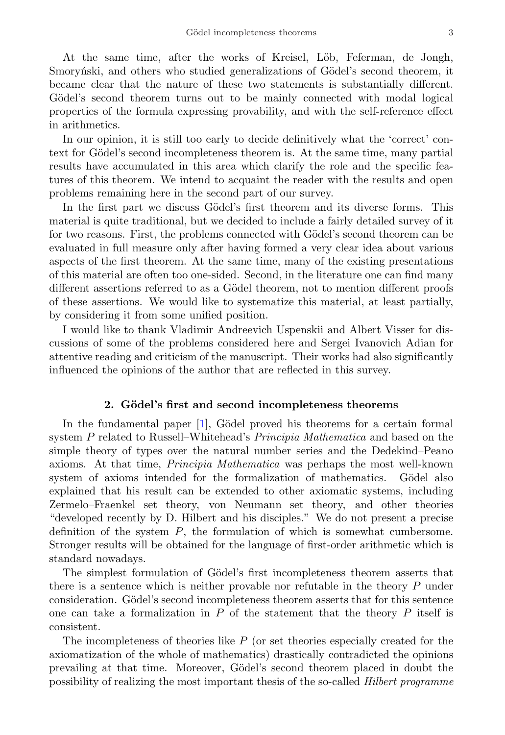At the same time, after the works of Kreisel, Löb, Feferman, de Jongh, Smorvn'ski, and others who studied generalizations of Gödel's second theorem, it became clear that the nature of these two statements is substantially different. Gödel's second theorem turns out to be mainly connected with modal logical properties of the formula expressing provability, and with the self-reference effect in arithmetics.

In our opinion, it is still too early to decide definitively what the 'correct' context for Gödel's second incompleteness theorem is. At the same time, many partial results have accumulated in this area which clarify the role and the specific features of this theorem. We intend to acquaint the reader with the results and open problems remaining here in the second part of our survey.

In the first part we discuss Gödel's first theorem and its diverse forms. This material is quite traditional, but we decided to include a fairly detailed survey of it for two reasons. First, the problems connected with Gödel's second theorem can be evaluated in full measure only after having formed a very clear idea about various aspects of the first theorem. At the same time, many of the existing presentations of this material are often too one-sided. Second, in the literature one can find many different assertions referred to as a Gödel theorem, not to mention different proofs of these assertions. We would like to systematize this material, at least partially, by considering it from some unified position.

I would like to thank Vladimir Andreevich Uspenskii and Albert Visser for discussions of some of the problems considered here and Sergei Ivanovich Adian for attentive reading and criticism of the manuscript. Their works had also significantly influenced the opinions of the author that are reflected in this survey.

## 2. Gödel's first and second incompleteness theorems

<span id="page-2-0"></span>In the fundamental paper  $[1]$ , Gödel proved his theorems for a certain formal system P related to Russell–Whitehead's Principia Mathematica and based on the simple theory of types over the natural number series and the Dedekind–Peano axioms. At that time, Principia Mathematica was perhaps the most well-known system of axioms intended for the formalization of mathematics. Gödel also explained that his result can be extended to other axiomatic systems, including Zermelo–Fraenkel set theory, von Neumann set theory, and other theories "developed recently by D. Hilbert and his disciples." We do not present a precise definition of the system P, the formulation of which is somewhat cumbersome. Stronger results will be obtained for the language of first-order arithmetic which is standard nowadays.

The simplest formulation of Gödel's first incompleteness theorem asserts that there is a sentence which is neither provable nor refutable in the theory P under consideration. Gödel's second incompleteness theorem asserts that for this sentence one can take a formalization in  $P$  of the statement that the theory  $P$  itself is consistent.

The incompleteness of theories like  $P$  (or set theories especially created for the axiomatization of the whole of mathematics) drastically contradicted the opinions prevailing at that time. Moreover, Gödel's second theorem placed in doubt the possibility of realizing the most important thesis of the so-called Hilbert programme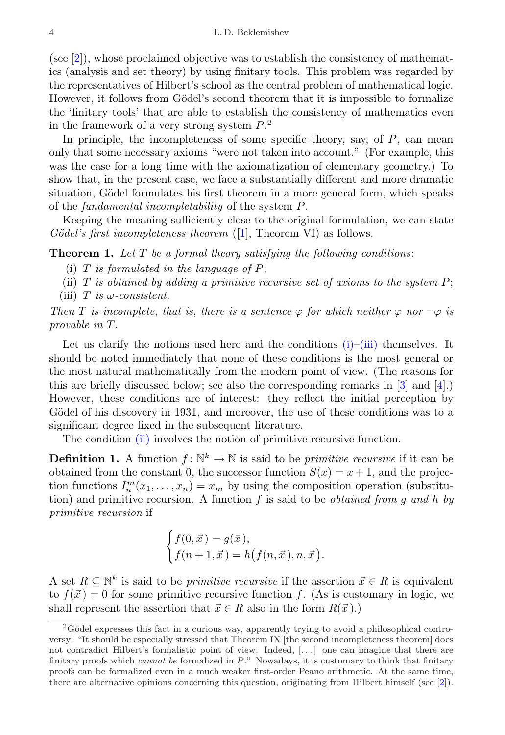(see [\[2\]](#page-38-2)), whose proclaimed objective was to establish the consistency of mathematics (analysis and set theory) by using finitary tools. This problem was regarded by the representatives of Hilbert's school as the central problem of mathematical logic. However, it follows from Gödel's second theorem that it is impossible to formalize the 'finitary tools' that are able to establish the consistency of mathematics even in the framework of a very strong system  $P<sup>2</sup>$  $P<sup>2</sup>$  $P<sup>2</sup>$ .

In principle, the incompleteness of some specific theory, say, of  $P$ , can mean only that some necessary axioms "were not taken into account." (For example, this was the case for a long time with the axiomatization of elementary geometry.) To show that, in the present case, we face a substantially different and more dramatic situation, Gödel formulates his first theorem in a more general form, which speaks of the fundamental incompletability of the system P.

Keeping the meaning sufficiently close to the original formulation, we can state  $G\ddot{o}del's$  first incompleteness theorem ([\[1\]](#page-38-1), Theorem VI) as follows.

<span id="page-3-4"></span><span id="page-3-1"></span>**Theorem 1.** Let  $T$  be a formal theory satisfying the following conditions:

- (i)  $T$  is formulated in the language of  $P$ ;
- <span id="page-3-3"></span>(ii)  $T$  is obtained by adding a primitive recursive set of axioms to the system  $P$ ;
- <span id="page-3-2"></span>(iii) T is  $\omega$ -consistent.

Then T is incomplete, that is, there is a sentence  $\varphi$  for which neither  $\varphi$  nor  $\neg \varphi$  is provable in T.

Let us clarify the notions used here and the conditions  $(i)$ – $(iii)$  themselves. It should be noted immediately that none of these conditions is the most general or the most natural mathematically from the modern point of view. (The reasons for this are briefly discussed below; see also the corresponding remarks in [\[3\]](#page-38-3) and [\[4\]](#page-38-4).) However, these conditions are of interest: they reflect the initial perception by Gödel of his discovery in 1931, and moreover, the use of these conditions was to a significant degree fixed in the subsequent literature.

The condition [\(ii\)](#page-3-3) involves the notion of primitive recursive function.

**Definition 1.** A function  $f: \mathbb{N}^k \to \mathbb{N}$  is said to be *primitive recursive* if it can be obtained from the constant 0, the successor function  $S(x) = x + 1$ , and the projection functions  $I_n^m(x_1,\ldots,x_n)=x_m$  by using the composition operation (substitution) and primitive recursion. A function  $f$  is said to be *obtained from g and h by* primitive recursion if

$$
\begin{cases} f(0, \vec{x}) = g(\vec{x}), \\ f(n+1, \vec{x}) = h(f(n, \vec{x}), n, \vec{x}). \end{cases}
$$

A set  $R \subseteq \mathbb{N}^k$  is said to be *primitive recursive* if the assertion  $\vec{x} \in R$  is equivalent to  $f(\vec{x}) = 0$  for some primitive recursive function f. (As is customary in logic, we shall represent the assertion that  $\vec{x} \in R$  also in the form  $R(\vec{x})$ .)

<span id="page-3-0"></span> $2G$ ödel expresses this fact in a curious way, apparently trying to avoid a philosophical controversy: "It should be especially stressed that Theorem IX [the second incompleteness theorem] does not contradict Hilbert's formalistic point of view. Indeed, [. . . ] one can imagine that there are finitary proofs which cannot be formalized in P." Nowadays, it is customary to think that finitary proofs can be formalized even in a much weaker first-order Peano arithmetic. At the same time, there are alternative opinions concerning this question, originating from Hilbert himself (see [\[2\]](#page-38-2)).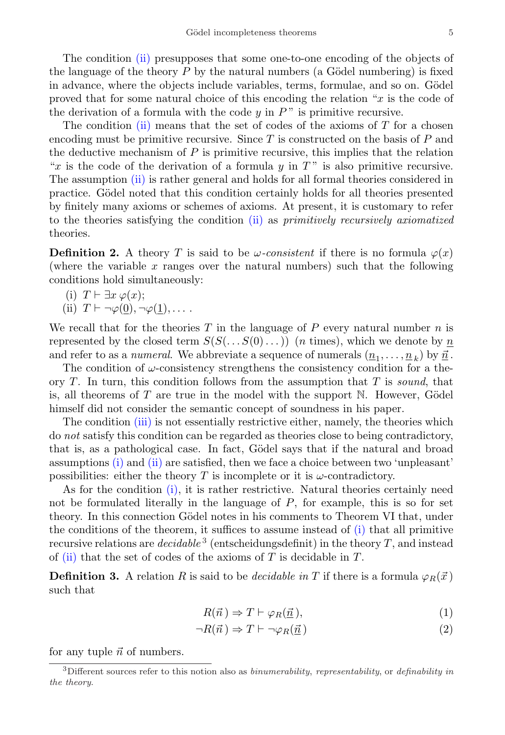The condition [\(ii\)](#page-3-3) presupposes that some one-to-one encoding of the objects of the language of the theory  $P$  by the natural numbers (a Gödel numbering) is fixed in advance, where the objects include variables, terms, formulae, and so on. Gödel proved that for some natural choice of this encoding the relation " $x$  is the code of the derivation of a formula with the code  $y$  in  $P$ " is primitive recursive.

The condition [\(ii\)](#page-3-3) means that the set of codes of the axioms of  $T$  for a chosen encoding must be primitive recursive. Since  $T$  is constructed on the basis of  $P$  and the deductive mechanism of  $P$  is primitive recursive, this implies that the relation "x is the code of the derivation of a formula  $y$  in  $T$ " is also primitive recursive. The assumption [\(ii\)](#page-3-3) is rather general and holds for all formal theories considered in practice. Gödel noted that this condition certainly holds for all theories presented by finitely many axioms or schemes of axioms. At present, it is customary to refer to the theories satisfying the condition [\(ii\)](#page-3-3) as primitively recursively axiomatized theories.

**Definition 2.** A theory T is said to be  $\omega$ -consistent if there is no formula  $\varphi(x)$ (where the variable  $x$  ranges over the natural numbers) such that the following conditions hold simultaneously:

(i) 
$$
T \vdash \exists x \varphi(x)
$$
;

(ii)  $T \vdash \neg \varphi(0), \neg \varphi(1), \dots$ .

We recall that for the theories T in the language of P every natural number n is represented by the closed term  $S(S(\ldots S(0) \ldots))$  (*n* times), which we denote by  $\underline{n}$ and refer to as a *numeral*. We abbreviate a sequence of numerals  $(\underline{n}_1, \ldots, \underline{n}_k)$  by  $\vec{\underline{n}}$ .

The condition of  $\omega$ -consistency strengthens the consistency condition for a theory  $T$ . In turn, this condition follows from the assumption that  $T$  is sound, that is, all theorems of  $T$  are true in the model with the support  $\mathbb N$ . However, Gödel himself did not consider the semantic concept of soundness in his paper.

The condition [\(iii\)](#page-3-2) is not essentially restrictive either, namely, the theories which do not satisfy this condition can be regarded as theories close to being contradictory, that is, as a pathological case. In fact, Gödel says that if the natural and broad assumptions [\(i\)](#page-3-1) and [\(ii\)](#page-3-3) are satisfied, then we face a choice between two 'unpleasant' possibilities: either the theory T is incomplete or it is  $\omega$ -contradictory.

As for the condition [\(i\),](#page-3-1) it is rather restrictive. Natural theories certainly need not be formulated literally in the language of  $P$ , for example, this is so for set theory. In this connection Gödel notes in his comments to Theorem VI that, under the conditions of the theorem, it suffices to assume instead of [\(i\)](#page-3-1) that all primitive recursive relations are  $decidable<sup>3</sup>$  $decidable<sup>3</sup>$  $decidable<sup>3</sup>$  (entscheidungsdefinit) in the theory T, and instead of [\(ii\)](#page-3-3) that the set of codes of the axioms of  $T$  is decidable in  $T$ .

**Definition 3.** A relation R is said to be *decidable in* T if there is a formula  $\varphi_R(\vec{x})$ such that

$$
R(\vec{n}) \Rightarrow T \vdash \varphi_R(\underline{\vec{n}}),\tag{1}
$$

$$
\neg R(\vec{n}) \Rightarrow T \vdash \neg \varphi_R(\vec{n}) \tag{2}
$$

for any tuple  $\vec{n}$  of numbers.

<span id="page-4-0"></span> $3$ Different sources refer to this notion also as *binumerability, representability,* or *definability* in the theory.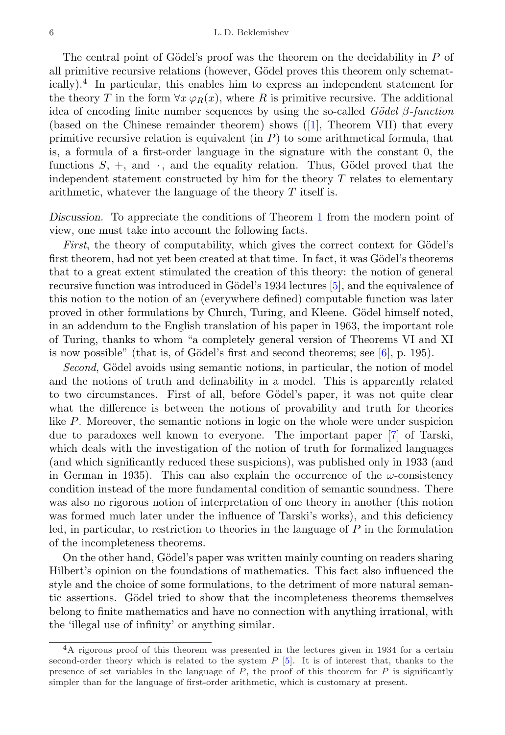The central point of Gödel's proof was the theorem on the decidability in  $P$  of all primitive recursive relations (however, Gödel proves this theorem only schematically).[4](#page-5-0) In particular, this enables him to express an independent statement for the theory T in the form  $\forall x \varphi_R(x)$ , where R is primitive recursive. The additional idea of encoding finite number sequences by using the so-called  $Gödel$  β-function (based on the Chinese remainder theorem) shows([\[1\]](#page-38-1), Theorem VII) that every primitive recursive relation is equivalent (in  $P$ ) to some arithmetical formula, that is, a formula of a first-order language in the signature with the constant 0, the functions  $S, +$ , and  $\cdot$ , and the equality relation. Thus, Gödel proved that the independent statement constructed by him for the theory  $T$  relates to elementary arithmetic, whatever the language of the theory T itself is.

Discussion. To appreciate the conditions of Theorem [1](#page-3-4) from the modern point of view, one must take into account the following facts.

First, the theory of computability, which gives the correct context for  $Gödel's$ first theorem, had not yet been created at that time. In fact, it was Gödel's theorems that to a great extent stimulated the creation of this theory: the notion of general recursive function was introduced in Gödel's 1934 lectures [\[5\]](#page-38-5), and the equivalence of this notion to the notion of an (everywhere defined) computable function was later proved in other formulations by Church, Turing, and Kleene. Gödel himself noted, in an addendum to the English translation of his paper in 1963, the important role of Turing, thanks to whom "a completely general version of Theorems VI and XI is now possible" (that is, of Gödel's first and second theorems; see  $[6]$ , p. 195).

Second, Gödel avoids using semantic notions, in particular, the notion of model and the notions of truth and definability in a model. This is apparently related to two circumstances. First of all, before Gödel's paper, it was not quite clear what the difference is between the notions of provability and truth for theories like P. Moreover, the semantic notions in logic on the whole were under suspicion due to paradoxes well known to everyone. The important paper [\[7\]](#page-38-7) of Tarski, which deals with the investigation of the notion of truth for formalized languages (and which significantly reduced these suspicions), was published only in 1933 (and in German in 1935). This can also explain the occurrence of the  $\omega$ -consistency condition instead of the more fundamental condition of semantic soundness. There was also no rigorous notion of interpretation of one theory in another (this notion was formed much later under the influence of Tarski's works), and this deficiency led, in particular, to restriction to theories in the language of  $P$  in the formulation of the incompleteness theorems.

On the other hand, Gödel's paper was written mainly counting on readers sharing Hilbert's opinion on the foundations of mathematics. This fact also influenced the style and the choice of some formulations, to the detriment of more natural semantic assertions. Gödel tried to show that the incompleteness theorems themselves belong to finite mathematics and have no connection with anything irrational, with the 'illegal use of infinity' or anything similar.

<span id="page-5-0"></span><sup>4</sup>A rigorous proof of this theorem was presented in the lectures given in 1934 for a certain second-order theory which is related to the system  $P$  [\[5\]](#page-38-5). It is of interest that, thanks to the presence of set variables in the language of  $P$ , the proof of this theorem for  $P$  is significantly simpler than for the language of first-order arithmetic, which is customary at present.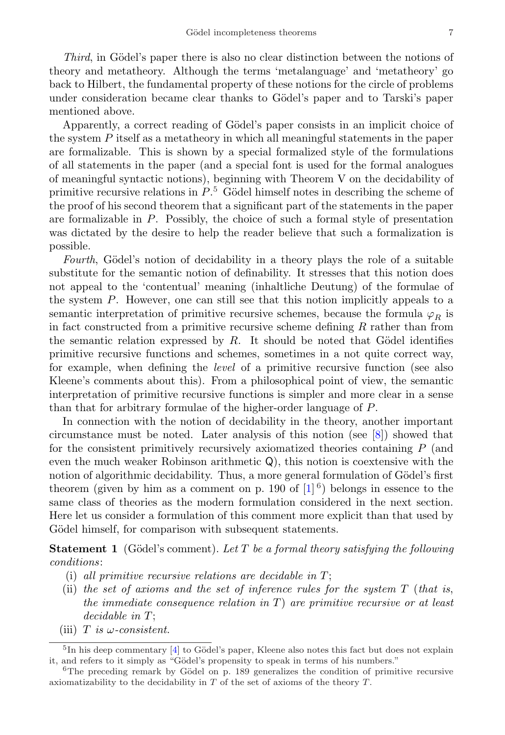Third, in Gödel's paper there is also no clear distinction between the notions of theory and metatheory. Although the terms 'metalanguage' and 'metatheory' go back to Hilbert, the fundamental property of these notions for the circle of problems under consideration became clear thanks to Gödel's paper and to Tarski's paper mentioned above.

Apparently, a correct reading of Gödel's paper consists in an implicit choice of the system  $P$  itself as a metatheory in which all meaningful statements in the paper are formalizable. This is shown by a special formalized style of the formulations of all statements in the paper (and a special font is used for the formal analogues of meaningful syntactic notions), beginning with Theorem V on the decidability of primitive recursive relations in  $P<sup>5</sup>$  $P<sup>5</sup>$  $P<sup>5</sup>$  Gödel himself notes in describing the scheme of the proof of his second theorem that a significant part of the statements in the paper are formalizable in P. Possibly, the choice of such a formal style of presentation was dictated by the desire to help the reader believe that such a formalization is possible.

Fourth, Gödel's notion of decidability in a theory plays the role of a suitable substitute for the semantic notion of definability. It stresses that this notion does not appeal to the 'contentual' meaning (inhaltliche Deutung) of the formulae of the system P. However, one can still see that this notion implicitly appeals to a semantic interpretation of primitive recursive schemes, because the formula  $\varphi_R$  is in fact constructed from a primitive recursive scheme defining R rather than from the semantic relation expressed by  $R$ . It should be noted that Gödel identifies primitive recursive functions and schemes, sometimes in a not quite correct way, for example, when defining the level of a primitive recursive function (see also Kleene's comments about this). From a philosophical point of view, the semantic interpretation of primitive recursive functions is simpler and more clear in a sense than that for arbitrary formulae of the higher-order language of P.

In connection with the notion of decidability in the theory, another important circumstance must be noted. Later analysis of this notion (see [\[8\]](#page-38-8)) showed that for the consistent primitively recursively axiomatized theories containing P (and even the much weaker Robinson arithmetic Q), this notion is coextensive with the notion of algorithmic decidability. Thus, a more general formulation of Gödel's first theorem (given by him as a comment on p. 190 of  $[1]^{6}$  $[1]^{6}$  $[1]^{6}$ ) belongs in essence to the same class of theories as the modern formulation considered in the next section. Here let us consider a formulation of this comment more explicit than that used by Gödel himself, for comparison with subsequent statements.

<span id="page-6-3"></span>**Statement 1** (Gödel's comment). Let T be a formal theory satisfying the following conditions:

- <span id="page-6-2"></span>(i) all primitive recursive relations are decidable in  $T$ ;
- (ii) the set of axioms and the set of inference rules for the system  $T$  (that is, the immediate consequence relation in  $T$ ) are primitive recursive or at least  $decidable$  in  $T$ ;
- (iii) T is  $\omega$ -consistent.

<span id="page-6-0"></span> ${}^{5}$ In his deep commentary [\[4\]](#page-38-4) to Gödel's paper, Kleene also notes this fact but does not explain it, and refers to it simply as "Gödel's propensity to speak in terms of his numbers."

<span id="page-6-1"></span> $6$ The preceding remark by Gödel on p. 189 generalizes the condition of primitive recursive axiomatizability to the decidability in  $T$  of the set of axioms of the theory  $T$ .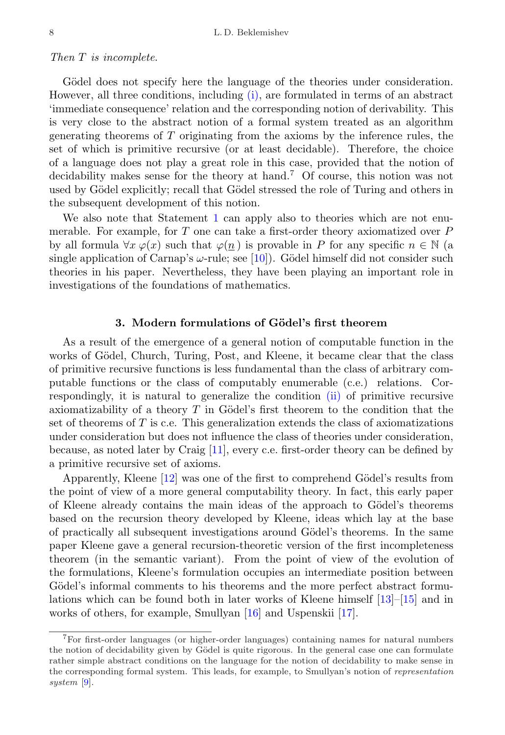#### Then T is incomplete.

Gödel does not specify here the language of the theories under consideration. However, all three conditions, including [\(i\),](#page-6-2) are formulated in terms of an abstract 'immediate consequence' relation and the corresponding notion of derivability. This is very close to the abstract notion of a formal system treated as an algorithm generating theorems of T originating from the axioms by the inference rules, the set of which is primitive recursive (or at least decidable). Therefore, the choice of a language does not play a great role in this case, provided that the notion of decidability makes sense for the theory at hand.[7](#page-7-1) Of course, this notion was not used by Gödel explicitly; recall that Gödel stressed the role of Turing and others in the subsequent development of this notion.

We also note that Statement [1](#page-6-3) can apply also to theories which are not enumerable. For example, for  $T$  one can take a first-order theory axiomatized over  $P$ by all formula  $\forall x \varphi(x)$  such that  $\varphi(n)$  is provable in P for any specific  $n \in \mathbb{N}$  (a single application of Carnap's  $\omega$ -rule; see [\[10\]](#page-38-9)). Gödel himself did not consider such theories in his paper. Nevertheless, they have been playing an important role in investigations of the foundations of mathematics.

## 3. Modern formulations of Gödel's first theorem

<span id="page-7-0"></span>As a result of the emergence of a general notion of computable function in the works of Gödel, Church, Turing, Post, and Kleene, it became clear that the class of primitive recursive functions is less fundamental than the class of arbitrary computable functions or the class of computably enumerable (c.e.) relations. Correspondingly, it is natural to generalize the condition [\(ii\)](#page-3-3) of primitive recursive axiomatizability of a theory  $T$  in Gödel's first theorem to the condition that the set of theorems of  $T$  is c.e. This generalization extends the class of axiomatizations under consideration but does not influence the class of theories under consideration, because, as noted later by Craig [\[11\]](#page-38-10), every c.e. first-order theory can be defined by a primitive recursive set of axioms.

Apparently, Kleene  $[12]$  was one of the first to comprehend Gödel's results from the point of view of a more general computability theory. In fact, this early paper of Kleene already contains the main ideas of the approach to Gödel's theorems based on the recursion theory developed by Kleene, ideas which lay at the base of practically all subsequent investigations around G¨odel's theorems. In the same paper Kleene gave a general recursion-theoretic version of the first incompleteness theorem (in the semantic variant). From the point of view of the evolution of the formulations, Kleene's formulation occupies an intermediate position between Gödel's informal comments to his theorems and the more perfect abstract formulations which can be found both in later works of Kleene himself [\[13\]](#page-38-12)–[\[15\]](#page-39-0) and in works of others, for example, Smullyan [\[16\]](#page-39-1) and Uspenskii [\[17\]](#page-39-2).

<span id="page-7-1"></span><sup>7</sup>For first-order languages (or higher-order languages) containing names for natural numbers the notion of decidability given by Gödel is quite rigorous. In the general case one can formulate rather simple abstract conditions on the language for the notion of decidability to make sense in the corresponding formal system. This leads, for example, to Smullyan's notion of representation system [\[9\]](#page-38-13).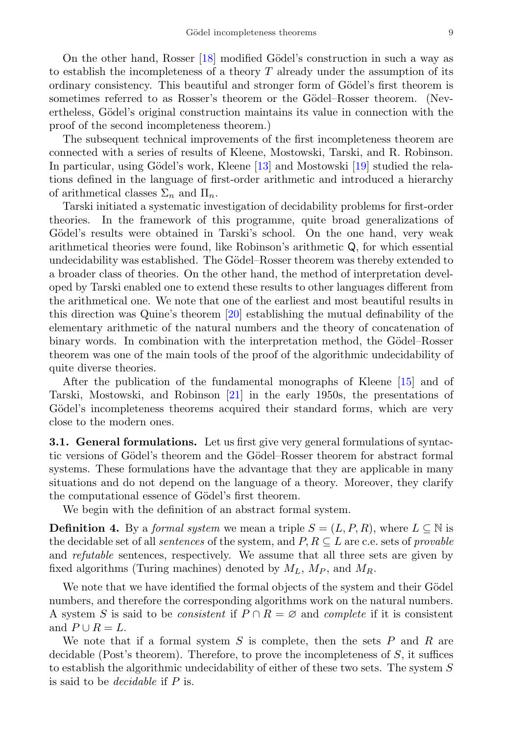On the other hand, Rosser [\[18\]](#page-39-3) modified Gödel's construction in such a way as to establish the incompleteness of a theory  $T$  already under the assumption of its ordinary consistency. This beautiful and stronger form of Gödel's first theorem is sometimes referred to as Rosser's theorem or the Gödel–Rosser theorem. (Nevertheless, Gödel's original construction maintains its value in connection with the proof of the second incompleteness theorem.)

The subsequent technical improvements of the first incompleteness theorem are connected with a series of results of Kleene, Mostowski, Tarski, and R. Robinson. In particular, using Gödel's work, Kleene  $[13]$  and Mostowski  $[19]$  studied the relations defined in the language of first-order arithmetic and introduced a hierarchy of arithmetical classes  $\Sigma_n$  and  $\Pi_n$ .

Tarski initiated a systematic investigation of decidability problems for first-order theories. In the framework of this programme, quite broad generalizations of Gödel's results were obtained in Tarski's school. On the one hand, very weak arithmetical theories were found, like Robinson's arithmetic Q, for which essential undecidability was established. The Gödel–Rosser theorem was thereby extended to a broader class of theories. On the other hand, the method of interpretation developed by Tarski enabled one to extend these results to other languages different from the arithmetical one. We note that one of the earliest and most beautiful results in this direction was Quine's theorem [\[20\]](#page-39-5) establishing the mutual definability of the elementary arithmetic of the natural numbers and the theory of concatenation of binary words. In combination with the interpretation method, the Gödel–Rosser theorem was one of the main tools of the proof of the algorithmic undecidability of quite diverse theories.

After the publication of the fundamental monographs of Kleene [\[15\]](#page-39-0) and of Tarski, Mostowski, and Robinson [\[21\]](#page-39-6) in the early 1950s, the presentations of Gödel's incompleteness theorems acquired their standard forms, which are very close to the modern ones.

<span id="page-8-0"></span>**3.1. General formulations.** Let us first give very general formulations of syntactic versions of Gödel's theorem and the Gödel–Rosser theorem for abstract formal systems. These formulations have the advantage that they are applicable in many situations and do not depend on the language of a theory. Moreover, they clarify the computational essence of Gödel's first theorem.

We begin with the definition of an abstract formal system.

<span id="page-8-1"></span>**Definition 4.** By a formal system we mean a triple  $S = (L, P, R)$ , where  $L \subseteq \mathbb{N}$  is the decidable set of all *sentences* of the system, and  $P, R \subseteq L$  are c.e. sets of *provable* and refutable sentences, respectively. We assume that all three sets are given by fixed algorithms (Turing machines) denoted by  $M_L$ ,  $M_P$ , and  $M_R$ .

We note that we have identified the formal objects of the system and their Gödel numbers, and therefore the corresponding algorithms work on the natural numbers. A system S is said to be *consistent* if  $P \cap R = \emptyset$  and *complete* if it is consistent and  $P \cup R = L$ .

We note that if a formal system S is complete, then the sets  $P$  and  $R$  are decidable (Post's theorem). Therefore, to prove the incompleteness of  $S$ , it suffices to establish the algorithmic undecidability of either of these two sets. The system S is said to be decidable if P is.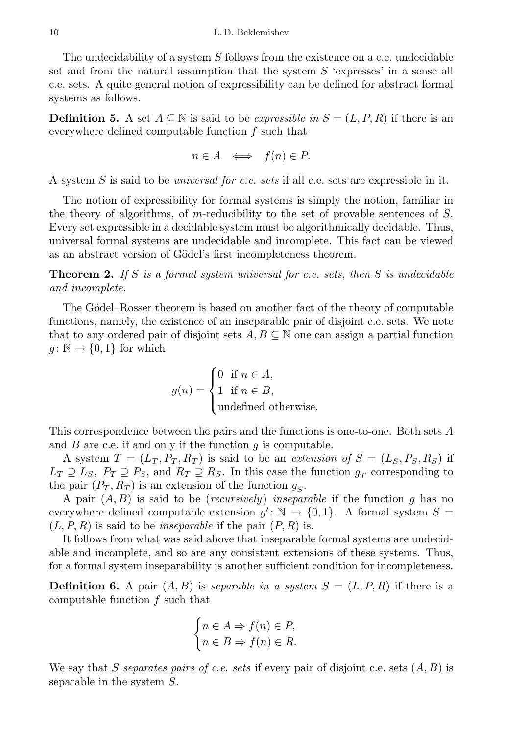The undecidability of a system S follows from the existence on a c.e. undecidable set and from the natural assumption that the system  $S$  'expresses' in a sense all c.e. sets. A quite general notion of expressibility can be defined for abstract formal systems as follows.

<span id="page-9-1"></span>**Definition 5.** A set  $A \subseteq \mathbb{N}$  is said to be *expressible in*  $S = (L, P, R)$  if there is an everywhere defined computable function f such that

$$
n \in A \iff f(n) \in P.
$$

A system  $S$  is said to be *universal for c.e. sets* if all c.e. sets are expressible in it.

The notion of expressibility for formal systems is simply the notion, familiar in the theory of algorithms, of m-reducibility to the set of provable sentences of S. Every set expressible in a decidable system must be algorithmically decidable. Thus, universal formal systems are undecidable and incomplete. This fact can be viewed as an abstract version of Gödel's first incompleteness theorem.

<span id="page-9-0"></span>**Theorem 2.** If S is a formal system universal for c.e. sets, then S is undecidable and incomplete.

The Gödel–Rosser theorem is based on another fact of the theory of computable functions, namely, the existence of an inseparable pair of disjoint c.e. sets. We note that to any ordered pair of disjoint sets  $A, B \subseteq \mathbb{N}$  one can assign a partial function  $g: \mathbb{N} \to \{0,1\}$  for which

$$
g(n) = \begin{cases} 0 & \text{if } n \in A, \\ 1 & \text{if } n \in B, \\ \text{undefined otherwise.} \end{cases}
$$

This correspondence between the pairs and the functions is one-to-one. Both sets A and  $B$  are c.e. if and only if the function  $q$  is computable.

A system  $T = (L_T, P_T, R_T)$  is said to be an *extension of*  $S = (L_S, P_S, R_S)$  if  $L_T \supseteq L_S$ ,  $P_T \supseteq P_S$ , and  $R_T \supseteq R_S$ . In this case the function  $g_T$  corresponding to the pair  $(P_T, R_T)$  is an extension of the function  $g_S$ .

A pair  $(A, B)$  is said to be *(recursively)* inseparable if the function q has no everywhere defined computable extension  $g' : \mathbb{N} \to \{0,1\}$ . A formal system  $S =$  $(L, P, R)$  is said to be *inseparable* if the pair  $(P, R)$  is.

It follows from what was said above that inseparable formal systems are undecidable and incomplete, and so are any consistent extensions of these systems. Thus, for a formal system inseparability is another sufficient condition for incompleteness.

**Definition 6.** A pair  $(A, B)$  is separable in a system  $S = (L, P, R)$  if there is a computable function f such that

$$
\begin{cases} n \in A \Rightarrow f(n) \in P, \\ n \in B \Rightarrow f(n) \in R. \end{cases}
$$

We say that S separates pairs of c.e. sets if every pair of disjoint c.e. sets  $(A, B)$  is separable in the system S.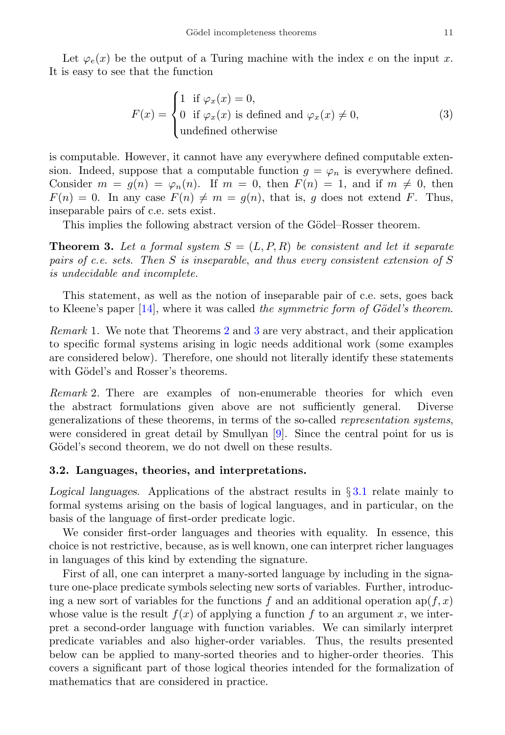<span id="page-10-2"></span>
$$
F(x) = \begin{cases} 1 & \text{if } \varphi_x(x) = 0, \\ 0 & \text{if } \varphi_x(x) \text{ is defined and } \varphi_x(x) \neq 0, \\ \text{undefined otherwise} \end{cases}
$$
 (3)

is computable. However, it cannot have any everywhere defined computable extension. Indeed, suppose that a computable function  $g = \varphi_n$  is everywhere defined. Consider  $m = g(n) = \varphi_n(n)$ . If  $m = 0$ , then  $F(n) = 1$ , and if  $m \neq 0$ , then  $F(n) = 0$ . In any case  $F(n) \neq m = g(n)$ , that is, g does not extend F. Thus, inseparable pairs of c.e. sets exist.

This implies the following abstract version of the Gödel–Rosser theorem.

<span id="page-10-1"></span>**Theorem 3.** Let a formal system  $S = (L, P, R)$  be consistent and let it separate pairs of c.e. sets. Then S is inseparable, and thus every consistent extension of S is undecidable and incomplete.

This statement, as well as the notion of inseparable pair of c.e. sets, goes back to Kleene's paper  $[14]$ , where it was called the symmetric form of Gödel's theorem.

Remark 1. We note that Theorems [2](#page-9-0) and [3](#page-10-1) are very abstract, and their application to specific formal systems arising in logic needs additional work (some examples are considered below). Therefore, one should not literally identify these statements with Gödel's and Rosser's theorems.

Remark 2. There are examples of non-enumerable theories for which even the abstract formulations given above are not sufficiently general. Diverse generalizations of these theorems, in terms of the so-called representation systems, were considered in great detail by Smullyan [\[9\]](#page-38-13). Since the central point for us is Gödel's second theorem, we do not dwell on these results.

## <span id="page-10-0"></span>3.2. Languages, theories, and interpretations.

Logical languages. Applications of the abstract results in  $\S 3.1$  $\S 3.1$  relate mainly to formal systems arising on the basis of logical languages, and in particular, on the basis of the language of first-order predicate logic.

We consider first-order languages and theories with equality. In essence, this choice is not restrictive, because, as is well known, one can interpret richer languages in languages of this kind by extending the signature.

First of all, one can interpret a many-sorted language by including in the signature one-place predicate symbols selecting new sorts of variables. Further, introducing a new sort of variables for the functions f and an additional operation  $ap(f, x)$ whose value is the result  $f(x)$  of applying a function f to an argument x, we interpret a second-order language with function variables. We can similarly interpret predicate variables and also higher-order variables. Thus, the results presented below can be applied to many-sorted theories and to higher-order theories. This covers a significant part of those logical theories intended for the formalization of mathematics that are considered in practice.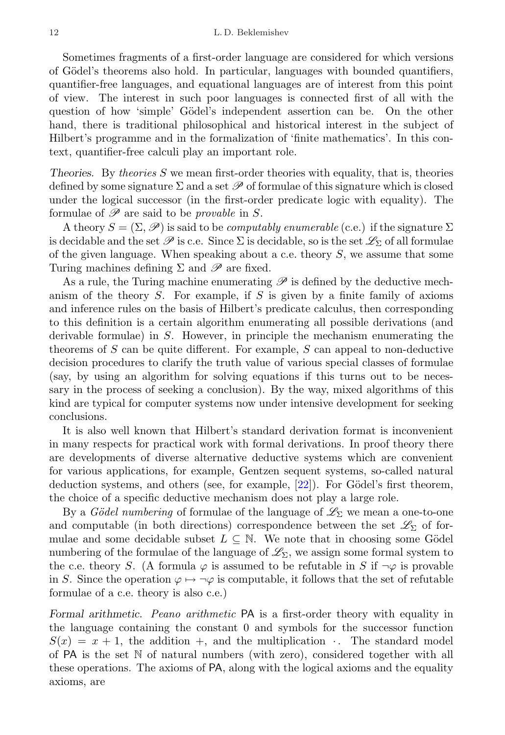Sometimes fragments of a first-order language are considered for which versions of Gödel's theorems also hold. In particular, languages with bounded quantifiers, quantifier-free languages, and equational languages are of interest from this point of view. The interest in such poor languages is connected first of all with the question of how 'simple' Gödel's independent assertion can be. On the other hand, there is traditional philosophical and historical interest in the subject of Hilbert's programme and in the formalization of 'finite mathematics'. In this context, quantifier-free calculi play an important role.

Theories. By theories  $S$  we mean first-order theories with equality, that is, theories defined by some signature  $\Sigma$  and a set  $\mathscr P$  of formulae of this signature which is closed under the logical successor (in the first-order predicate logic with equality). The formulae of  $\mathscr P$  are said to be *provable* in S.

A theory  $S = (\Sigma, \mathscr{P})$  is said to be *computably enumerable* (c.e.) if the signature  $\Sigma$ is decidable and the set  $\mathscr P$  is c.e. Since  $\Sigma$  is decidable, so is the set  $\mathscr L_\Sigma$  of all formulae of the given language. When speaking about a c.e. theory  $S$ , we assume that some Turing machines defining  $\Sigma$  and  $\mathscr P$  are fixed.

As a rule, the Turing machine enumerating  $\mathscr P$  is defined by the deductive mechanism of the theory  $S$ . For example, if  $S$  is given by a finite family of axioms and inference rules on the basis of Hilbert's predicate calculus, then corresponding to this definition is a certain algorithm enumerating all possible derivations (and derivable formulae) in S. However, in principle the mechanism enumerating the theorems of  $S$  can be quite different. For example,  $S$  can appeal to non-deductive decision procedures to clarify the truth value of various special classes of formulae (say, by using an algorithm for solving equations if this turns out to be necessary in the process of seeking a conclusion). By the way, mixed algorithms of this kind are typical for computer systems now under intensive development for seeking conclusions.

It is also well known that Hilbert's standard derivation format is inconvenient in many respects for practical work with formal derivations. In proof theory there are developments of diverse alternative deductive systems which are convenient for various applications, for example, Gentzen sequent systems, so-called natural deduction systems, and others (see, for example,  $[22]$ ). For Gödel's first theorem, the choice of a specific deductive mechanism does not play a large role.

By a Gödel numbering of formulae of the language of  $\mathscr{L}_{\Sigma}$  we mean a one-to-one and computable (in both directions) correspondence between the set  $\mathscr{L}_{\Sigma}$  of formulae and some decidable subset  $L \subseteq \mathbb{N}$ . We note that in choosing some Gödel numbering of the formulae of the language of  $\mathscr{L}_{\Sigma}$ , we assign some formal system to the c.e. theory S. (A formula  $\varphi$  is assumed to be refutable in S if  $\neg \varphi$  is provable in S. Since the operation  $\varphi \mapsto \neg \varphi$  is computable, it follows that the set of refutable formulae of a c.e. theory is also c.e.)

Formal arithmetic. Peano arithmetic PA is a first-order theory with equality in the language containing the constant 0 and symbols for the successor function  $S(x) = x + 1$ , the addition +, and the multiplication  $\cdot$ . The standard model of PA is the set N of natural numbers (with zero), considered together with all these operations. The axioms of PA, along with the logical axioms and the equality axioms, are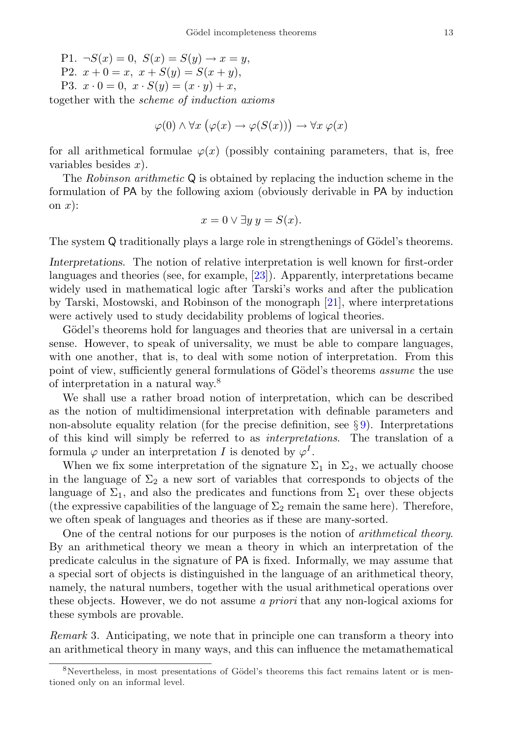P1.  $\neg S(x) = 0$ ,  $S(x) = S(y) \rightarrow x = y$ , P2.  $x + 0 = x$ ,  $x + S(y) = S(x + y)$ , P3.  $x \cdot 0 = 0$ ,  $x \cdot S(y) = (x \cdot y) + x$ ,

together with the scheme of induction axioms

$$
\varphi(0) \land \forall x \ (\varphi(x) \to \varphi(S(x))) \to \forall x \ \varphi(x)
$$

for all arithmetical formulae  $\varphi(x)$  (possibly containing parameters, that is, free variables besides  $x$ ).

The Robinson arithmetic Q is obtained by replacing the induction scheme in the formulation of PA by the following axiom (obviously derivable in PA by induction on  $x$ :

$$
x = 0 \lor \exists y \ y = S(x).
$$

The system Q traditionally plays a large role in strengthenings of Gödel's theorems.

Interpretations. The notion of relative interpretation is well known for first-order languages and theories (see, for example, [\[23\]](#page-39-9)). Apparently, interpretations became widely used in mathematical logic after Tarski's works and after the publication by Tarski, Mostowski, and Robinson of the monograph [\[21\]](#page-39-6), where interpretations were actively used to study decidability problems of logical theories.

Gödel's theorems hold for languages and theories that are universal in a certain sense. However, to speak of universality, we must be able to compare languages, with one another, that is, to deal with some notion of interpretation. From this point of view, sufficiently general formulations of Gödel's theorems *assume* the use of interpretation in a natural way.[8](#page-12-0)

We shall use a rather broad notion of interpretation, which can be described as the notion of multidimensional interpretation with definable parameters and non-absolute equality relation (for the precise definition, see  $\S$ ). Interpretations of this kind will simply be referred to as interpretations. The translation of a formula  $\varphi$  under an interpretation I is denoted by  $\varphi^I$ .

When we fix some interpretation of the signature  $\Sigma_1$  in  $\Sigma_2$ , we actually choose in the language of  $\Sigma_2$  a new sort of variables that corresponds to objects of the language of  $\Sigma_1$ , and also the predicates and functions from  $\Sigma_1$  over these objects (the expressive capabilities of the language of  $\Sigma_2$  remain the same here). Therefore, we often speak of languages and theories as if these are many-sorted.

One of the central notions for our purposes is the notion of arithmetical theory. By an arithmetical theory we mean a theory in which an interpretation of the predicate calculus in the signature of PA is fixed. Informally, we may assume that a special sort of objects is distinguished in the language of an arithmetical theory, namely, the natural numbers, together with the usual arithmetical operations over these objects. However, we do not assume a priori that any non-logical axioms for these symbols are provable.

Remark 3. Anticipating, we note that in principle one can transform a theory into an arithmetical theory in many ways, and this can influence the metamathematical

<span id="page-12-0"></span> $8$ Nevertheless, in most presentations of Gödel's theorems this fact remains latent or is mentioned only on an informal level.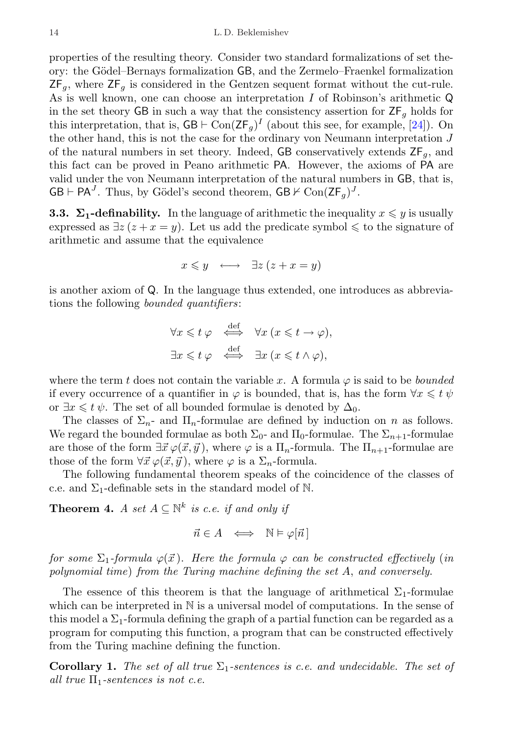properties of the resulting theory. Consider two standard formalizations of set theory: the Gödel–Bernays formalization GB, and the Zermelo–Fraenkel formalization  $ZF_q$ , where  $ZF_q$  is considered in the Gentzen sequent format without the cut-rule. As is well known, one can choose an interpretation I of Robinson's arithmetic Q in the set theory GB in such a way that the consistency assertion for  $ZF<sub>a</sub>$  holds for this interpretation, that is,  $GB \vdash Con(\mathsf{ZF}_g)^I$  (about this see, for example, [\[24\]](#page-39-10)). On the other hand, this is not the case for the ordinary von Neumann interpretation J of the natural numbers in set theory. Indeed, GB conservatively extends  $\mathsf{ZF}_q$ , and this fact can be proved in Peano arithmetic PA. However, the axioms of PA are valid under the von Neumann interpretation of the natural numbers in GB, that is,  $GB \vdash PA^J$ . Thus, by Gödel's second theorem,  $GB \nvdash \text{Con}(ZF_g)^J$ .

<span id="page-13-0"></span>**3.3.**  $\Sigma_1$ -definability. In the language of arithmetic the inequality  $x \leq y$  is usually expressed as  $\exists z (z + x = y)$ . Let us add the predicate symbol  $\leq$  to the signature of arithmetic and assume that the equivalence

$$
x \leq y \quad \longleftrightarrow \quad \exists z \ (z + x = y)
$$

is another axiom of Q. In the language thus extended, one introduces as abbreviations the following bounded quantifiers:

$$
\forall x \leq t \varphi \iff \forall x \ (x \leq t \to \varphi),
$$
  

$$
\exists x \leq t \varphi \iff \exists x \ (x \leq t \land \varphi),
$$

where the term t does not contain the variable x. A formula  $\varphi$  is said to be *bounded* if every occurrence of a quantifier in  $\varphi$  is bounded, that is, has the form  $\forall x \leq t \psi$ or  $\exists x \leq t \psi$ . The set of all bounded formulae is denoted by  $\Delta_0$ .

The classes of  $\Sigma_n$ - and  $\Pi_n$ -formulae are defined by induction on n as follows. We regard the bounded formulae as both  $\Sigma_0$ - and  $\Pi_0$ -formulae. The  $\Sigma_{n+1}$ -formulae are those of the form  $\exists \vec{x} \varphi(\vec{x}, \vec{y})$ , where  $\varphi$  is a  $\Pi_n$ -formula. The  $\Pi_{n+1}$ -formulae are those of the form  $\forall \vec{x} \varphi(\vec{x}, \vec{y})$ , where  $\varphi$  is a  $\Sigma_n$ -formula.

The following fundamental theorem speaks of the coincidence of the classes of c.e. and  $\Sigma_1$ -definable sets in the standard model of N.

<span id="page-13-2"></span>**Theorem 4.** A set  $A \subseteq \mathbb{N}^k$  is c.e. if and only if

$$
\vec{n} \in A \iff \mathbb{N} \models \varphi[\vec{n}]
$$

for some  $\Sigma_1$ -formula  $\varphi(\vec{x})$ . Here the formula  $\varphi$  can be constructed effectively (in polynomial time) from the Turing machine defining the set A, and conversely.

The essence of this theorem is that the language of arithmetical  $\Sigma_1$ -formulae which can be interpreted in  $\mathbb N$  is a universal model of computations. In the sense of this model a  $\Sigma_1$ -formula defining the graph of a partial function can be regarded as a program for computing this function, a program that can be constructed effectively from the Turing machine defining the function.

<span id="page-13-1"></span>**Corollary 1.** The set of all true  $\Sigma_1$ -sentences is c.e. and undecidable. The set of all true  $\Pi_1$ -sentences is not c.e.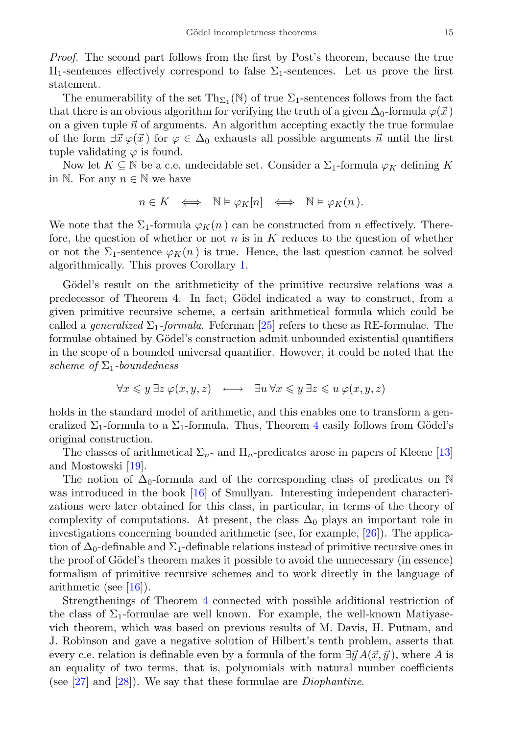Proof. The second part follows from the first by Post's theorem, because the true  $\Pi_1$ -sentences effectively correspond to false  $\Sigma_1$ -sentences. Let us prove the first statement.

The enumerability of the set  $\mathrm{Th}_{\Sigma_1}(\mathbb{N})$  of true  $\Sigma_1$ -sentences follows from the fact that there is an obvious algorithm for verifying the truth of a given  $\Delta_0$ -formula  $\varphi(\vec{x})$ on a given tuple  $\vec{n}$  of arguments. An algorithm accepting exactly the true formulae of the form  $\exists \vec{x} \varphi(\vec{x})$  for  $\varphi \in \Delta_0$  exhausts all possible arguments  $\vec{n}$  until the first tuple validating  $\varphi$  is found.

Now let  $K \subseteq \mathbb{N}$  be a c.e. undecidable set. Consider a  $\Sigma_1$ -formula  $\varphi_K$  defining K in N. For any  $n \in \mathbb{N}$  we have

$$
n \in K \iff \mathbb{N} \models \varphi_K[n] \iff \mathbb{N} \models \varphi_K(\underline{n}).
$$

We note that the  $\Sigma_1$ -formula  $\varphi_K(n)$  can be constructed from *n* effectively. Therefore, the question of whether or not  $n$  is in  $K$  reduces to the question of whether or not the  $\Sigma_1$ -sentence  $\varphi_K(n)$  is true. Hence, the last question cannot be solved algorithmically. This proves Corollary [1.](#page-13-1)

Gödel's result on the arithmeticity of the primitive recursive relations was a predecessor of Theorem 4. In fact, Gödel indicated a way to construct, from a given primitive recursive scheme, a certain arithmetical formula which could be called a *generalized*  $\Sigma_1$ -formula. Feferman [\[25\]](#page-39-11) refers to these as RE-formulae. The formulae obtained by Gödel's construction admit unbounded existential quantifiers in the scope of a bounded universal quantifier. However, it could be noted that the scheme of  $\Sigma_1$ -boundedness

$$
\forall x \leq y \exists z \, \varphi(x, y, z) \quad \longleftrightarrow \quad \exists u \, \forall x \leq y \, \exists z \leq u \, \varphi(x, y, z)
$$

holds in the standard model of arithmetic, and this enables one to transform a generalized  $\Sigma_1$ -formula to a  $\Sigma_1$ -formula. Thus, Theorem [4](#page-13-2) easily follows from Gödel's original construction.

The classes of arithmetical  $\Sigma_n$ - and  $\Pi_n$ -predicates arose in papers of Kleene [\[13\]](#page-38-12) and Mostowski [\[19\]](#page-39-4).

The notion of  $\Delta_0$ -formula and of the corresponding class of predicates on N was introduced in the book [\[16\]](#page-39-1) of Smullyan. Interesting independent characterizations were later obtained for this class, in particular, in terms of the theory of complexity of computations. At present, the class  $\Delta_0$  plays an important role in investigations concerning bounded arithmetic (see, for example, [\[26\]](#page-39-12)). The application of  $\Delta_0$ -definable and  $\Sigma_1$ -definable relations instead of primitive recursive ones in the proof of Gödel's theorem makes it possible to avoid the unnecessary (in essence) formalism of primitive recursive schemes and to work directly in the language of arithmetic (see [\[16\]](#page-39-1)).

Strengthenings of Theorem [4](#page-13-2) connected with possible additional restriction of the class of  $\Sigma_1$ -formulae are well known. For example, the well-known Matiyasevich theorem, which was based on previous results of M. Davis, H. Putnam, and J. Robinson and gave a negative solution of Hilbert's tenth problem, asserts that every c.e. relation is definable even by a formula of the form  $\exists \vec{y} A(\vec{x}, \vec{y})$ , where A is an equality of two terms, that is, polynomials with natural number coefficients (see  $[27]$  and  $[28]$ ). We say that these formulae are *Diophantine*.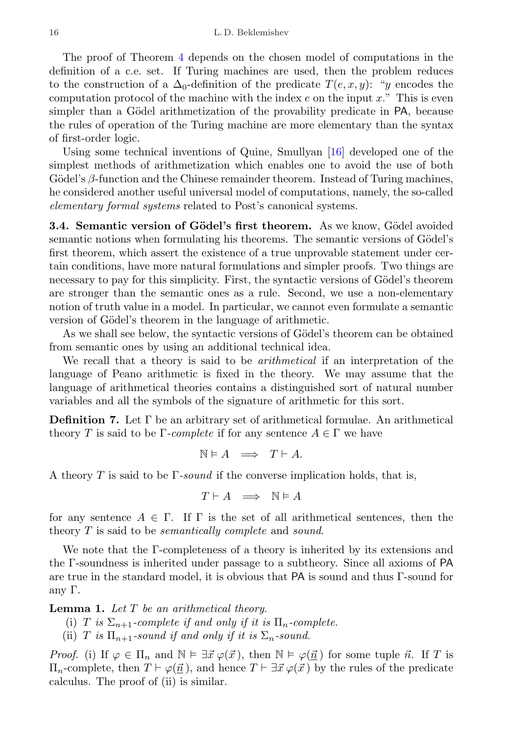The proof of Theorem [4](#page-13-2) depends on the chosen model of computations in the definition of a c.e. set. If Turing machines are used, then the problem reduces to the construction of a  $\Delta_0$ -definition of the predicate  $T(e, x, y)$ : "y encodes the computation protocol of the machine with the index  $e$  on the input  $x$ ." This is even simpler than a Gödel arithmetization of the provability predicate in PA, because the rules of operation of the Turing machine are more elementary than the syntax of first-order logic.

Using some technical inventions of Quine, Smullyan [\[16\]](#page-39-1) developed one of the simplest methods of arithmetization which enables one to avoid the use of both Gödel's  $\beta$ -function and the Chinese remainder theorem. Instead of Turing machines, he considered another useful universal model of computations, namely, the so-called elementary formal systems related to Post's canonical systems.

<span id="page-15-0"></span>**3.4. Semantic version of Gödel's first theorem.** As we know, Gödel avoided semantic notions when formulating his theorems. The semantic versions of Gödel's first theorem, which assert the existence of a true unprovable statement under certain conditions, have more natural formulations and simpler proofs. Two things are necessary to pay for this simplicity. First, the syntactic versions of Gödel's theorem are stronger than the semantic ones as a rule. Second, we use a non-elementary notion of truth value in a model. In particular, we cannot even formulate a semantic version of Gödel's theorem in the language of arithmetic.

As we shall see below, the syntactic versions of Gödel's theorem can be obtained from semantic ones by using an additional technical idea.

We recall that a theory is said to be arithmetical if an interpretation of the language of Peano arithmetic is fixed in the theory. We may assume that the language of arithmetical theories contains a distinguished sort of natural number variables and all the symbols of the signature of arithmetic for this sort.

**Definition 7.** Let  $\Gamma$  be an arbitrary set of arithmetical formulae. An arithmetical theory T is said to be  $\Gamma$ -complete if for any sentence  $A \in \Gamma$  we have

$$
\mathbb{N} \vDash A \implies T \vdash A.
$$

A theory T is said to be  $\Gamma$ -sound if the converse implication holds, that is,

$$
T \vdash A \;\; \Longrightarrow \;\; \mathbb{N} \models A
$$

for any sentence  $A \in \Gamma$ . If  $\Gamma$  is the set of all arithmetical sentences, then the theory T is said to be *semantically complete* and *sound*.

We note that the Γ-completeness of a theory is inherited by its extensions and the Γ-soundness is inherited under passage to a subtheory. Since all axioms of PA are true in the standard model, it is obvious that PA is sound and thus Γ-sound for any Γ.

<span id="page-15-1"></span>**Lemma 1.** Let  $T$  be an arithmetical theory.

- (i) T is  $\Sigma_{n+1}$ -complete if and only if it is  $\Pi_n$ -complete.
- (ii) T is  $\Pi_{n+1}$ -sound if and only if it is  $\Sigma_n$ -sound.

*Proof.* (i) If  $\varphi \in \Pi_n$  and  $\mathbb{N} \models \exists \vec{x} \varphi(\vec{x}),$  then  $\mathbb{N} \models \varphi(\vec{n})$  for some tuple  $\vec{n}$ . If T is  $\Pi_n$ -complete, then  $T \vdash \varphi(\vec{n})$ , and hence  $T \vdash \exists \vec{x} \varphi(\vec{x})$  by the rules of the predicate calculus. The proof of (ii) is similar.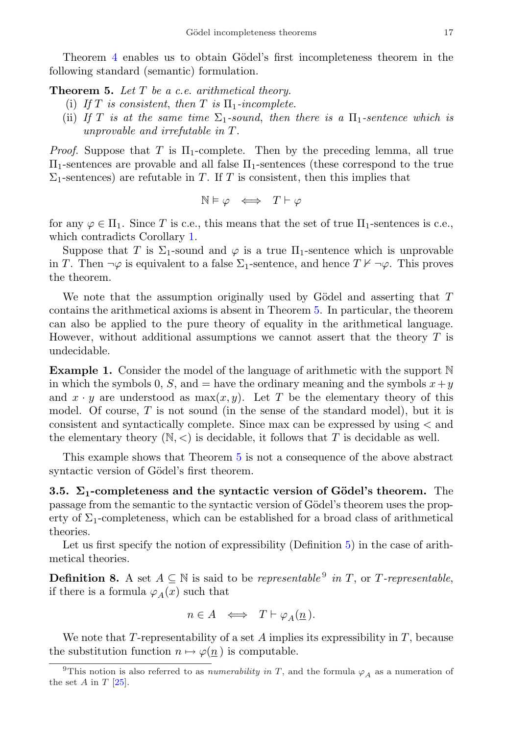Theorem [4](#page-13-2) enables us to obtain Gödel's first incompleteness theorem in the following standard (semantic) formulation.

<span id="page-16-1"></span>**Theorem 5.** Let  $T$  be a c.e. arithmetical theory.

- (i) If T is consistent, then T is  $\Pi_1$ -incomplete.
- (ii) If T is at the same time  $\Sigma_1$ -sound, then there is a  $\Pi_1$ -sentence which is unprovable and irrefutable in T .

*Proof.* Suppose that T is  $\Pi_1$ -complete. Then by the preceding lemma, all true Π1-sentences are provable and all false Π1-sentences (these correspond to the true  $\Sigma_1$ -sentences) are refutable in T. If T is consistent, then this implies that

$$
\mathbb{N} \models \varphi \iff T \vdash \varphi
$$

for any  $\varphi \in \Pi_1$ . Since T is c.e., this means that the set of true  $\Pi_1$ -sentences is c.e., which contradicts Corollary [1.](#page-13-1)

Suppose that T is  $\Sigma_1$ -sound and  $\varphi$  is a true  $\Pi_1$ -sentence which is unprovable in T. Then  $\neg \varphi$  is equivalent to a false  $\Sigma_1$ -sentence, and hence  $T \nvdash \neg \varphi$ . This proves the theorem.

We note that the assumption originally used by Gödel and asserting that  $T$ contains the arithmetical axioms is absent in Theorem [5.](#page-16-1) In particular, the theorem can also be applied to the pure theory of equality in the arithmetical language. However, without additional assumptions we cannot assert that the theory  $T$  is undecidable.

**Example 1.** Consider the model of the language of arithmetic with the support  $\mathbb N$ in which the symbols 0, S, and  $=$  have the ordinary meaning and the symbols  $x + y$ and  $x \cdot y$  are understood as  $max(x, y)$ . Let T be the elementary theory of this model. Of course,  $T$  is not sound (in the sense of the standard model), but it is consistent and syntactically complete. Since max can be expressed by using < and the elementary theory  $(N, <)$  is decidable, it follows that T is decidable as well.

This example shows that Theorem [5](#page-16-1) is not a consequence of the above abstract syntactic version of Gödel's first theorem.

<span id="page-16-0"></span>3.5.  $\Sigma_1$ -completeness and the syntactic version of Gödel's theorem. The passage from the semantic to the syntactic version of Gödel's theorem uses the property of  $\Sigma_1$ -completeness, which can be established for a broad class of arithmetical theories.

Let us first specify the notion of expressibility (Definition [5\)](#page-9-1) in the case of arithmetical theories.

**Definition 8.** A set  $A \subseteq \mathbb{N}$  is said to be *representable*<sup>[9](#page-16-2)</sup> in T, or T-representable, if there is a formula  $\varphi_A(x)$  such that

$$
n \in A \iff T \vdash \varphi_A(\underline{n}).
$$

We note that  $T$ -representability of a set  $A$  implies its expressibility in  $T$ , because the substitution function  $n \mapsto \varphi(n)$  is computable.

<span id="page-16-2"></span><sup>&</sup>lt;sup>9</sup>This notion is also referred to as *numerability in T*, and the formula  $\varphi_A$  as a numeration of the set A in T  $[25]$ .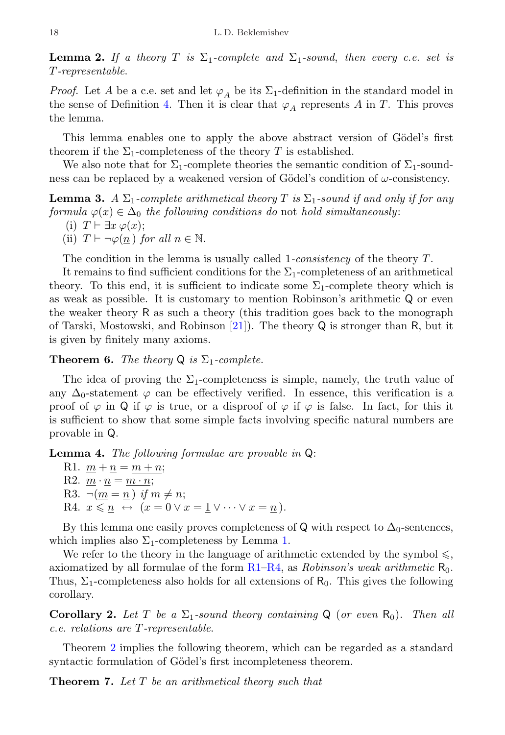**Lemma 2.** If a theory T is  $\Sigma_1$ -complete and  $\Sigma_1$ -sound, then every c.e. set is T-representable.

*Proof.* Let A be a c.e. set and let  $\varphi_A$  be its  $\Sigma_1$ -definition in the standard model in the sense of Definition [4.](#page-8-1) Then it is clear that  $\varphi_A$  represents A in T. This proves the lemma.

This lemma enables one to apply the above abstract version of Gödel's first theorem if the  $\Sigma_1$ -completeness of the theory T is established.

We also note that for  $\Sigma_1$ -complete theories the semantic condition of  $\Sigma_1$ -soundness can be replaced by a weakened version of Gödel's condition of  $\omega$ -consistency.

**Lemma 3.** A  $\Sigma_1$ -complete arithmetical theory T is  $\Sigma_1$ -sound if and only if for any formula  $\varphi(x) \in \Delta_0$  the following conditions do not hold simultaneously: (i)  $T \vdash \exists x \, \varphi(x);$ 

(ii)  $T \vdash \neg \varphi(n)$  for all  $n \in \mathbb{N}$ .

The condition in the lemma is usually called 1-consistency of the theory T.

It remains to find sufficient conditions for the  $\Sigma_1$ -completeness of an arithmetical theory. To this end, it is sufficient to indicate some  $\Sigma_1$ -complete theory which is as weak as possible. It is customary to mention Robinson's arithmetic Q or even the weaker theory R as such a theory (this tradition goes back to the monograph of Tarski, Mostowski, and Robinson [\[21\]](#page-39-6)). The theory Q is stronger than R, but it is given by finitely many axioms.

**Theorem 6.** The theory  $Q$  is  $\Sigma_1$ -complete.

The idea of proving the  $\Sigma_1$ -completeness is simple, namely, the truth value of any  $\Delta_0$ -statement  $\varphi$  can be effectively verified. In essence, this verification is a proof of  $\varphi$  in Q if  $\varphi$  is true, or a disproof of  $\varphi$  if  $\varphi$  is false. In fact, for this it is sufficient to show that some simple facts involving specific natural numbers are provable in Q.

<span id="page-17-4"></span><span id="page-17-0"></span>Lemma 4. The following formulae are provable in Q:

R1.  $m + n = m + n$ ; R2.  $m \cdot n = m \cdot n$ ; R3.  $\neg(m = n)$  if  $m \neq n$ ; R4.  $x \leq n \leftrightarrow (x = 0 \vee x = 1 \vee \cdots \vee x = n).$ 

<span id="page-17-1"></span>By this lemma one easily proves completeness of Q with respect to  $\Delta_0$ -sentences, which implies also  $\Sigma_1$ -completeness by Lemma [1.](#page-15-1)

We refer to the theory in the language of arithmetic extended by the symbol  $\leq$ , axiomatized by all formulae of the form  $R1-R4$ , as *Robinson's weak arithmetic*  $R_0$ . Thus,  $\Sigma_1$ -completeness also holds for all extensions of  $R_0$ . This gives the following corollary.

<span id="page-17-3"></span>**Corollary 2.** Let T be a  $\Sigma_1$ -sound theory containing Q (or even R<sub>0</sub>). Then all c.e. relations are T-representable.

Theorem [2](#page-9-0) implies the following theorem, which can be regarded as a standard syntactic formulation of Gödel's first incompleteness theorem.

<span id="page-17-2"></span>**Theorem 7.** Let T be an arithmetical theory such that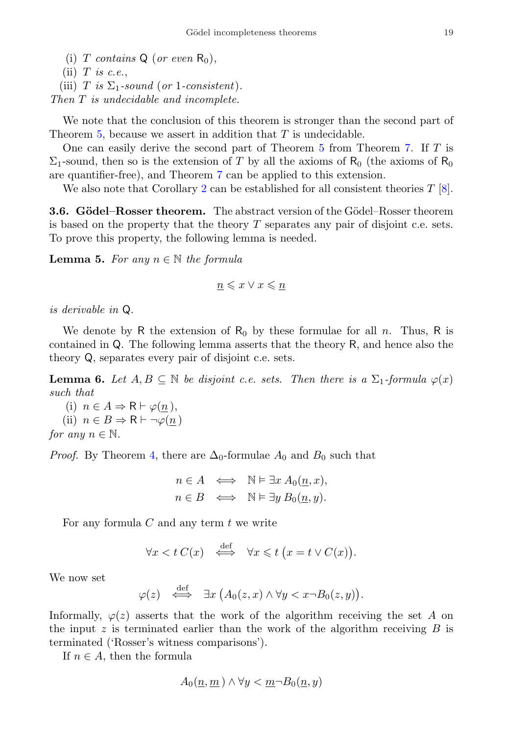- (i) T contains  $Q$  (or even  $R_0$ ),
- (ii)  $T$  is c.e.,
- (iii) T is  $\Sigma_1$ -sound (or 1-consistent).

Then T is undecidable and incomplete.

We note that the conclusion of this theorem is stronger than the second part of Theorem [5,](#page-16-1) because we assert in addition that T is undecidable.

One can easily derive the second part of Theorem [5](#page-16-1) from Theorem [7.](#page-17-2) If T is  $\Sigma_1$ -sound, then so is the extension of T by all the axioms of R<sub>0</sub> (the axioms of R<sub>0</sub> are quantifier-free), and Theorem [7](#page-17-2) can be applied to this extension.

We also note that Corollary [2](#page-17-3) can be established for all consistent theories  $T$  [\[8\]](#page-38-8).

<span id="page-18-0"></span>**3.6. Gödel–Rosser theorem.** The abstract version of the Gödel–Rosser theorem is based on the property that the theory  $T$  separates any pair of disjoint c.e. sets. To prove this property, the following lemma is needed.

<span id="page-18-1"></span>**Lemma 5.** For any  $n \in \mathbb{N}$  the formula

$$
\underline{n} \leqslant x \vee x \leqslant \underline{n}
$$

is derivable in Q.

We denote by R the extension of  $R_0$  by these formulae for all n. Thus, R is contained in Q. The following lemma asserts that the theory R, and hence also the theory Q, separates every pair of disjoint c.e. sets.

**Lemma 6.** Let  $A, B \subseteq \mathbb{N}$  be disjoint c.e. sets. Then there is a  $\Sigma_1$ -formula  $\varphi(x)$ such that

(i)  $n \in A \Rightarrow \mathsf{R} \vdash \varphi(n),$ (ii)  $n \in B \Rightarrow \mathsf{R} \vdash \neg \varphi(n)$ for any  $n \in \mathbb{N}$ .

*Proof.* By Theorem [4,](#page-13-2) there are  $\Delta_0$ -formulae  $A_0$  and  $B_0$  such that

$$
n \in A \iff \mathbb{N} \models \exists x \, A_0(\underline{n}, x),
$$
  

$$
n \in B \iff \mathbb{N} \models \exists y \, B_0(\underline{n}, y).
$$

For any formula  $C$  and any term  $t$  we write

$$
\forall x < t \ C(x) \quad \stackrel{\text{def}}{\iff} \quad \forall x \leq t \ (x = t \lor C(x)).
$$

We now set

$$
\varphi(z) \quad \stackrel{\text{def}}{\iff} \quad \exists x \, \big(A_0(z,x) \wedge \forall y < x \neg B_0(z,y)\big).
$$

Informally,  $\varphi(z)$  asserts that the work of the algorithm receiving the set A on the input  $z$  is terminated earlier than the work of the algorithm receiving  $B$  is terminated ('Rosser's witness comparisons').

If  $n \in A$ , then the formula

$$
A_0(\underline{n}, \underline{m}) \land \forall y < \underline{m} \neg B_0(\underline{n}, y)
$$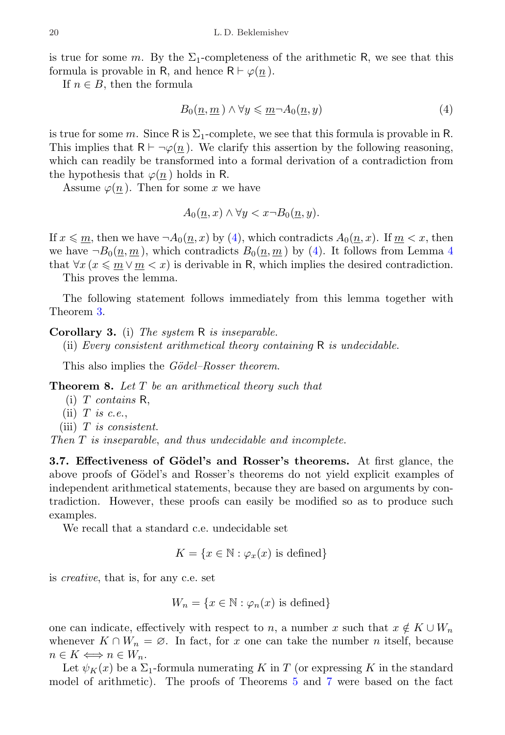is true for some m. By the  $\Sigma_1$ -completeness of the arithmetic R, we see that this formula is provable in R, and hence  $R \vdash \varphi(n)$ .

If  $n \in B$ , then the formula

<span id="page-19-1"></span>
$$
B_0(\underline{n}, \underline{m}) \wedge \forall y \leqslant \underline{m} \neg A_0(\underline{n}, y) \tag{4}
$$

is true for some m. Since R is  $\Sigma_1$ -complete, we see that this formula is provable in R. This implies that  $R \vdash \neg \varphi(n)$ . We clarify this assertion by the following reasoning, which can readily be transformed into a formal derivation of a contradiction from the hypothesis that  $\varphi(n)$  holds in R.

Assume  $\varphi(n)$ . Then for some x we have

$$
A_0(\underline{n}, x) \land \forall y < x \neg B_0(\underline{n}, y).
$$

If  $x \leq m$ , then we have  $\neg A_0(n, x)$  by [\(4\)](#page-19-1), which contradicts  $A_0(n, x)$ . If  $m < x$ , then we have  $\neg B_0(n,m)$ , which contradicts  $B_0(n,m)$  by [\(4\)](#page-19-1). It follows from Lemma [4](#page-17-4) that  $\forall x (x \leq m \lor m < x)$  is derivable in R, which implies the desired contradiction.

This proves the lemma.

The following statement follows immediately from this lemma together with Theorem [3.](#page-10-1)

<span id="page-19-2"></span>Corollary 3. (i) The system R is inseparable.

(ii) Every consistent arithmetical theory containing  $R$  is undecidable.

This also implies the *Gödel–Rosser theorem*.

Theorem 8. Let T be an arithmetical theory such that

- $(i)$  T contains R,
- (ii)  $T$  is c.e.,
- (iii)  $T$  is consistent.

Then T is inseparable, and thus undecidable and incomplete.

<span id="page-19-0"></span>3.7. Effectiveness of Gödel's and Rosser's theorems. At first glance, the above proofs of Gödel's and Rosser's theorems do not yield explicit examples of independent arithmetical statements, because they are based on arguments by contradiction. However, these proofs can easily be modified so as to produce such examples.

We recall that a standard c.e. undecidable set

$$
K = \{x \in \mathbb{N} : \varphi_x(x) \text{ is defined}\}
$$

is creative, that is, for any c.e. set

$$
W_n = \{ x \in \mathbb{N} : \varphi_n(x) \text{ is defined} \}
$$

one can indicate, effectively with respect to n, a number x such that  $x \notin K \cup W_n$ whenever  $K \cap W_n = \emptyset$ . In fact, for x one can take the number n itself, because  $n \in K \Longleftrightarrow n \in W_n$ .

Let  $\psi_K(x)$  be a  $\Sigma_1$ -formula numerating K in T (or expressing K in the standard model of arithmetic). The proofs of Theorems [5](#page-16-1) and [7](#page-17-2) were based on the fact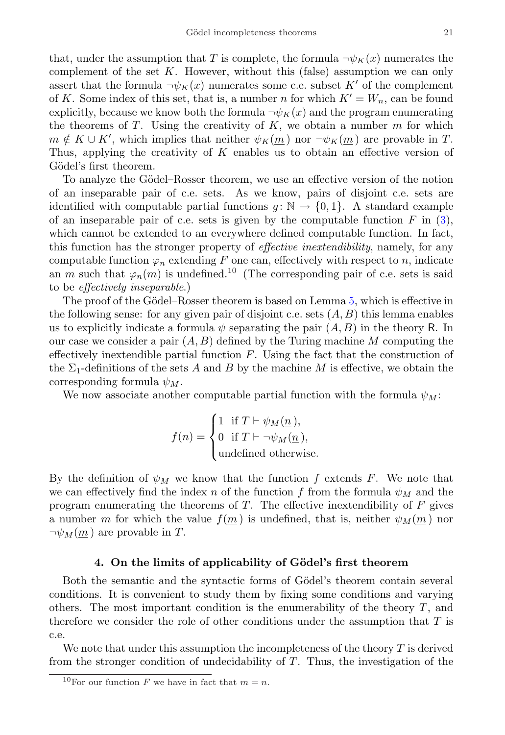that, under the assumption that T is complete, the formula  $\neg \psi_K(x)$  numerates the complement of the set  $K$ . However, without this (false) assumption we can only assert that the formula  $\neg \psi_K(x)$  numerates some c.e. subset K' of the complement of K. Some index of this set, that is, a number n for which  $K' = W_n$ , can be found explicitly, because we know both the formula  $\neg \psi_K(x)$  and the program enumerating the theorems of  $T$ . Using the creativity of  $K$ , we obtain a number  $m$  for which  $m \notin K \cup K'$ , which implies that neither  $\psi_K(\underline{m})$  nor  $\neg \psi_K(\underline{m})$  are provable in T. Thus, applying the creativity of  $K$  enables us to obtain an effective version of Gödel's first theorem.

To analyze the Gödel–Rosser theorem, we use an effective version of the notion of an inseparable pair of c.e. sets. As we know, pairs of disjoint c.e. sets are identified with computable partial functions  $q: \mathbb{N} \to \{0, 1\}$ . A standard example of an inseparable pair of c.e. sets is given by the computable function  $F$  in [\(3\)](#page-10-2), which cannot be extended to an everywhere defined computable function. In fact, this function has the stronger property of effective inextendibility, namely, for any computable function  $\varphi_n$  extending F one can, effectively with respect to n, indicate an m such that  $\varphi_n(m)$  is undefined.<sup>[10](#page-20-1)</sup> (The corresponding pair of c.e. sets is said to be effectively inseparable.)

The proof of the Gödel–Rosser theorem is based on Lemma [5,](#page-18-1) which is effective in the following sense: for any given pair of disjoint c.e. sets  $(A, B)$  this lemma enables us to explicitly indicate a formula  $\psi$  separating the pair  $(A, B)$  in the theory R. In our case we consider a pair  $(A, B)$  defined by the Turing machine M computing the effectively inextendible partial function  $F$ . Using the fact that the construction of the  $\Sigma_1$ -definitions of the sets A and B by the machine M is effective, we obtain the corresponding formula  $\psi_M$ .

We now associate another computable partial function with the formula  $\psi_M$ :

$$
f(n) = \begin{cases} 1 & \text{if } T \vdash \psi_M(\underline{n}), \\ 0 & \text{if } T \vdash \neg \psi_M(\underline{n}), \\ \text{undefined otherwise.} \end{cases}
$$

By the definition of  $\psi_M$  we know that the function f extends F. We note that we can effectively find the index n of the function f from the formula  $\psi_M$  and the program enumerating the theorems of  $T$ . The effective inextendibility of  $F$  gives a number m for which the value  $f(m)$  is undefined, that is, neither  $\psi_M(m)$  nor  $\neg \psi_M(m)$  are provable in T.

#### 4. On the limits of applicability of Gödel's first theorem

<span id="page-20-0"></span>Both the semantic and the syntactic forms of Gödel's theorem contain several conditions. It is convenient to study them by fixing some conditions and varying others. The most important condition is the enumerability of the theory  $T$ , and therefore we consider the role of other conditions under the assumption that  $T$  is c.e.

We note that under this assumption the incompleteness of the theory  $T$  is derived from the stronger condition of undecidability of  $T$ . Thus, the investigation of the

<span id="page-20-1"></span><sup>&</sup>lt;sup>10</sup>For our function F we have in fact that  $m = n$ .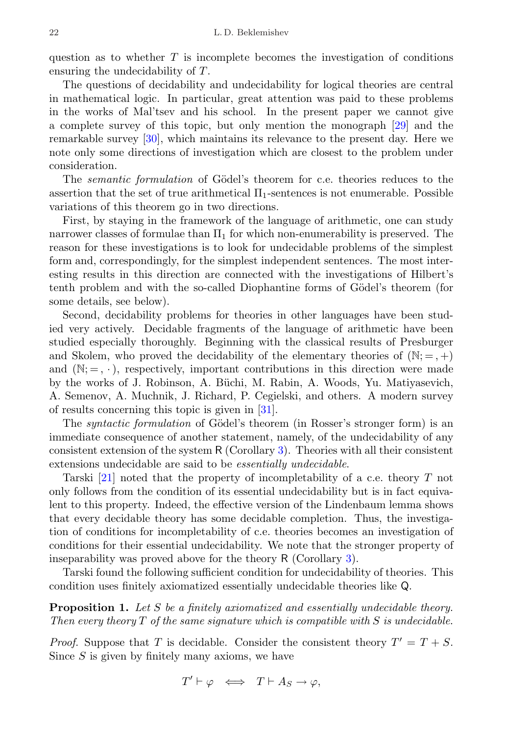question as to whether  $T$  is incomplete becomes the investigation of conditions ensuring the undecidability of T.

The questions of decidability and undecidability for logical theories are central in mathematical logic. In particular, great attention was paid to these problems in the works of Mal'tsev and his school. In the present paper we cannot give a complete survey of this topic, but only mention the monograph [\[29\]](#page-39-15) and the remarkable survey [\[30\]](#page-39-16), which maintains its relevance to the present day. Here we note only some directions of investigation which are closest to the problem under consideration.

The *semantic formulation* of Gödel's theorem for c.e. theories reduces to the assertion that the set of true arithmetical  $\Pi_1$ -sentences is not enumerable. Possible variations of this theorem go in two directions.

First, by staying in the framework of the language of arithmetic, one can study narrower classes of formulae than  $\Pi_1$  for which non-enumerability is preserved. The reason for these investigations is to look for undecidable problems of the simplest form and, correspondingly, for the simplest independent sentences. The most interesting results in this direction are connected with the investigations of Hilbert's tenth problem and with the so-called Diophantine forms of Gödel's theorem (for some details, see below).

Second, decidability problems for theories in other languages have been studied very actively. Decidable fragments of the language of arithmetic have been studied especially thoroughly. Beginning with the classical results of Presburger and Skolem, who proved the decidability of the elementary theories of  $(N; =, +)$ and  $(N; =, \cdot)$ , respectively, important contributions in this direction were made by the works of J. Robinson, A. B¨uchi, M. Rabin, A. Woods, Yu. Matiyasevich, A. Semenov, A. Muchnik, J. Richard, P. Cegielski, and others. A modern survey of results concerning this topic is given in [\[31\]](#page-39-17).

The *syntactic formulation* of Gödel's theorem (in Rosser's stronger form) is an immediate consequence of another statement, namely, of the undecidability of any consistent extension of the system R (Corollary [3\)](#page-19-2). Theories with all their consistent extensions undecidable are said to be essentially undecidable.

Tarski [\[21\]](#page-39-6) noted that the property of incompletability of a c.e. theory T not only follows from the condition of its essential undecidability but is in fact equivalent to this property. Indeed, the effective version of the Lindenbaum lemma shows that every decidable theory has some decidable completion. Thus, the investigation of conditions for incompletability of c.e. theories becomes an investigation of conditions for their essential undecidability. We note that the stronger property of inseparability was proved above for the theory R (Corollary [3\)](#page-19-2).

Tarski found the following sufficient condition for undecidability of theories. This condition uses finitely axiomatized essentially undecidable theories like Q.

<span id="page-21-0"></span>**Proposition 1.** Let S be a finitely axiomatized and essentially undecidable theory. Then every theory  $T$  of the same signature which is compatible with  $S$  is undecidable.

*Proof.* Suppose that T is decidable. Consider the consistent theory  $T' = T + S$ . Since  $S$  is given by finitely many axioms, we have

$$
T' \vdash \varphi \iff T \vdash A_S \to \varphi,
$$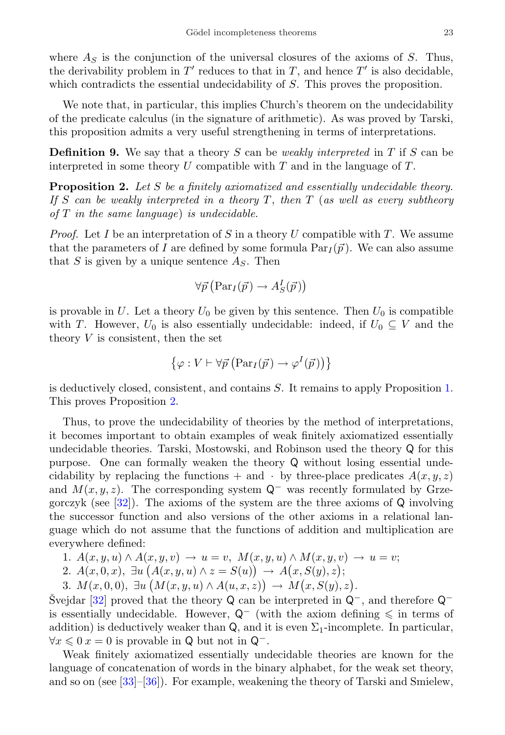where  $A_s$  is the conjunction of the universal closures of the axioms of S. Thus, the derivability problem in  $T'$  reduces to that in T, and hence  $T'$  is also decidable, which contradicts the essential undecidability of S. This proves the proposition.

We note that, in particular, this implies Church's theorem on the undecidability of the predicate calculus (in the signature of arithmetic). As was proved by Tarski, this proposition admits a very useful strengthening in terms of interpretations.

**Definition 9.** We say that a theory S can be *weakly interpreted* in T if S can be interpreted in some theory  $U$  compatible with  $T$  and in the language of  $T$ .

<span id="page-22-0"></span>**Proposition 2.** Let S be a finitely axiomatized and essentially undecidable theory. If S can be weakly interpreted in a theory T, then T (as well as every subtheory of  $T$  in the same language) is undecidable.

*Proof.* Let I be an interpretation of S in a theory U compatible with T. We assume that the parameters of I are defined by some formula  $Par_I(\vec{p})$ . We can also assume that S is given by a unique sentence  $A<sub>S</sub>$ . Then

$$
\forall \vec{p} \left( \mathrm{Par}_{I}(\vec{p}) \rightarrow A_{S}^{I}(\vec{p}) \right)
$$

is provable in U. Let a theory  $U_0$  be given by this sentence. Then  $U_0$  is compatible with T. However,  $U_0$  is also essentially undecidable: indeed, if  $U_0 \subseteq V$  and the theory  $V$  is consistent, then the set

$$
\{\varphi: V \vdash \forall \vec{p} \left( \operatorname{Par}_I(\vec{p}) \to \varphi^I(\vec{p}) \right) \}
$$

is deductively closed, consistent, and contains S. It remains to apply Proposition [1.](#page-21-0) This proves Proposition [2.](#page-22-0)

Thus, to prove the undecidability of theories by the method of interpretations, it becomes important to obtain examples of weak finitely axiomatized essentially undecidable theories. Tarski, Mostowski, and Robinson used the theory Q for this purpose. One can formally weaken the theory Q without losing essential undecidability by replacing the functions  $+$  and  $\cdot$  by three-place predicates  $A(x, y, z)$ and  $M(x, y, z)$ . The corresponding system  $\mathsf{Q}^-$  was recently formulated by Grzegorczyk (see [\[32\]](#page-39-18)). The axioms of the system are the three axioms of Q involving the successor function and also versions of the other axioms in a relational language which do not assume that the functions of addition and multiplication are everywhere defined:

1. 
$$
A(x, y, u) \wedge A(x, y, v) \rightarrow u = v
$$
,  $M(x, y, u) \wedge M(x, y, v) \rightarrow u = v$ ;

2. 
$$
A(x, 0, x), \exists u (A(x, y, u) \land z = S(u)) \rightarrow A(x, S(y), z);
$$

3.  $M(x, 0, 0), \exists u (M(x, y, u) \wedge A(u, x, z)) \rightarrow M(x, S(y), z).$ 

Svejdar [[32\]](#page-39-18) proved that the theory Q can be interpreted in  $Q^-$ , and therefore  $Q^$ is essentially undecidable. However,  $Q^-$  (with the axiom defining  $\leq$  in terms of addition) is deductively weaker than  $Q$ , and it is even  $\Sigma_1$ -incomplete. In particular,  $\forall x \leq 0 \ x = 0$  is provable in Q but not in  $\mathsf{Q}^-$ .

Weak finitely axiomatized essentially undecidable theories are known for the language of concatenation of words in the binary alphabet, for the weak set theory, and so on (see [\[33\]](#page-39-19)–[\[36\]](#page-40-0)). For example, weakening the theory of Tarski and Smielew,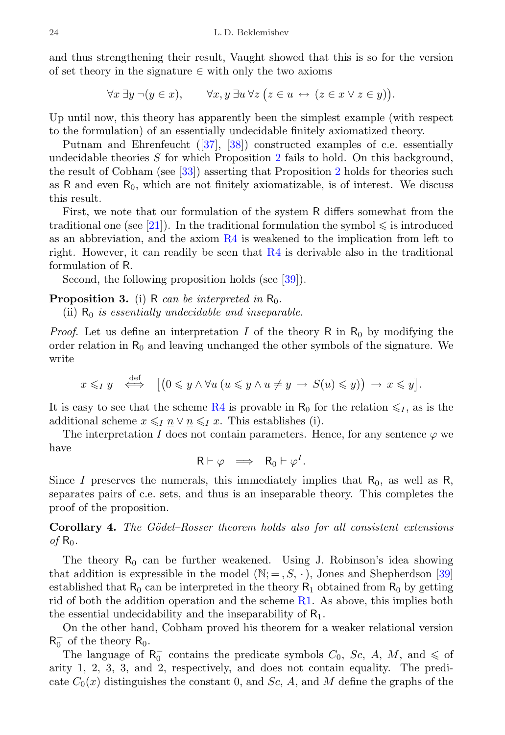and thus strengthening their result, Vaught showed that this is so for the version of set theory in the signature  $\in$  with only the two axioms

 $\forall x \exists y \neg (y \in x), \qquad \forall x, y \exists u \forall z (z \in u \leftrightarrow (z \in x \vee z \in y)).$ 

Up until now, this theory has apparently been the simplest example (with respect to the formulation) of an essentially undecidable finitely axiomatized theory.

Putnam and Ehrenfeucht([\[37\]](#page-40-1), [\[38\]](#page-40-2)) constructed examples of c.e. essentially undecidable theories  $S$  for which Proposition [2](#page-22-0) fails to hold. On this background, the result of Cobham (see [\[33\]](#page-39-19)) asserting that Proposition [2](#page-22-0) holds for theories such as  $R$  and even  $R_0$ , which are not finitely axiomatizable, is of interest. We discuss this result.

First, we note that our formulation of the system R differs somewhat from the traditional one (see [\[21\]](#page-39-6)). In the traditional formulation the symbol  $\leq$  is introduced as an abbreviation, and the axiom [R4](#page-17-1) is weakened to the implication from left to right. However, it can readily be seen that [R4](#page-17-1) is derivable also in the traditional formulation of R.

Second, the following proposition holds (see [\[39\]](#page-40-3)).

## **Proposition 3.** (i) R can be interpreted in  $R_0$ .

(ii)  $R_0$  is essentially undecidable and inseparable.

*Proof.* Let us define an interpretation I of the theory R in  $R_0$  by modifying the order relation in  $R_0$  and leaving unchanged the other symbols of the signature. We write

$$
x \leq_{I} y \quad \stackrel{\text{def}}{\iff} \quad [(0 \leq y \land \forall u \ (u \leq y \land u \neq y \ \rightarrow \ S(u) \leq y)) \ \rightarrow \ x \leq y].
$$

It is easy to see that the scheme [R4](#page-17-1) is provable in  $R_0$  for the relation  $\leq l_1$ , as is the additional scheme  $x \leq I \underline{n} \vee \underline{n} \leq I \underline{x}$ . This establishes (i).

The interpretation I does not contain parameters. Hence, for any sentence  $\varphi$  we have

$$
\mathsf{R}\vdash \varphi \;\;\Longrightarrow\;\; \mathsf{R}_0\vdash \varphi^I.
$$

Since I preserves the numerals, this immediately implies that  $R_0$ , as well as R, separates pairs of c.e. sets, and thus is an inseparable theory. This completes the proof of the proposition.

Corollary 4. The Gödel–Rosser theorem holds also for all consistent extensions  $of$  R<sub>0</sub>.

The theory  $R_0$  can be further weakened. Using J. Robinson's idea showing that addition is expressible in the model  $(N; =, S, \cdot)$ , Jones and Shepherdson [\[39\]](#page-40-3) established that  $R_0$  can be interpreted in the theory  $R_1$  obtained from  $R_0$  by getting rid of both the addition operation and the scheme [R1.](#page-17-0) As above, this implies both the essential undecidability and the inseparability of  $R_1$ .

On the other hand, Cobham proved his theorem for a weaker relational version  $R_0^-$  of the theory  $R_0$ .

The language of  $R_0^-$  contains the predicate symbols  $C_0$ ,  $Sc$ ,  $A$ ,  $M$ , and  $\leqslant$  of arity 1, 2, 3, 3, and 2, respectively, and does not contain equality. The predicate  $C_0(x)$  distinguishes the constant 0, and Sc, A, and M define the graphs of the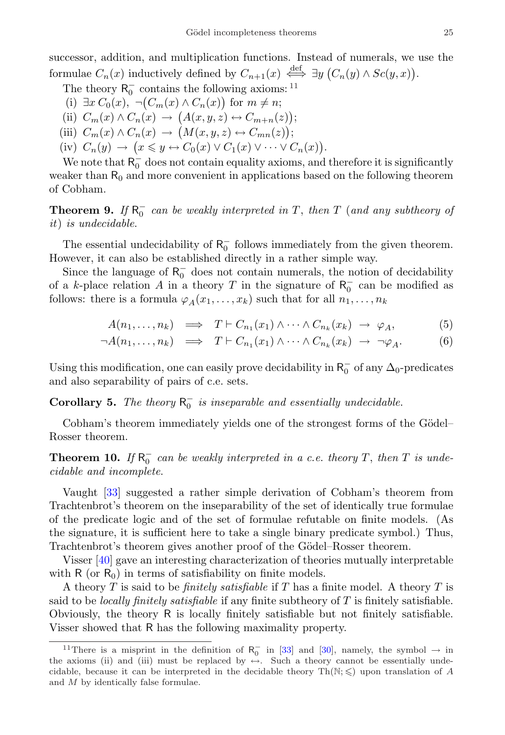successor, addition, and multiplication functions. Instead of numerals, we use the formulae  $C_n(x)$  inductively defined by  $C_{n+1}(x) \stackrel{\text{def}}{\iff} \exists y \ (C_n(y) \wedge Sc(y,x)).$ 

- The theory  $R_0^-$  contains the following axioms: <sup>[11](#page-24-0)</sup>
- (i)  $\exists x C_0(x), \neg (C_m(x) \wedge C_n(x))$  for  $m \neq n$ ;
- (ii)  $C_m(x) \wedge C_n(x) \rightarrow (A(x,y,z) \leftrightarrow C_{m+n}(z));$
- (iii)  $C_m(x) \wedge C_n(x) \rightarrow \big(M(x, y, z) \leftrightarrow C_{mn}(z)\big);$
- (iv)  $C_n(y) \to (x \leq y \leftrightarrow C_0(x) \vee C_1(x) \vee \cdots \vee C_n(x)).$

We note that  $R_0^-$  does not contain equality axioms, and therefore it is significantly weaker than  $R_0$  and more convenient in applications based on the following theorem of Cobham.

**Theorem 9.** If  $R_0^-$  can be weakly interpreted in T, then T (and any subtheory of it) is undecidable.

The essential undecidability of  $R_0^-$  follows immediately from the given theorem. However, it can also be established directly in a rather simple way.

Since the language of  $R_0^-$  does not contain numerals, the notion of decidability of a k-place relation A in a theory T in the signature of  $R_0^-$  can be modified as follows: there is a formula  $\varphi_A(x_1, \ldots, x_k)$  such that for all  $n_1, \ldots, n_k$ 

$$
A(n_1,\ldots,n_k) \implies T \vdash C_{n_1}(x_1) \land \cdots \land C_{n_k}(x_k) \rightarrow \varphi_A,\tag{5}
$$

$$
\neg A(n_1,\ldots,n_k) \quad \Longrightarrow \quad T \vdash C_{n_1}(x_1) \land \cdots \land C_{n_k}(x_k) \quad \Longrightarrow \quad \neg \varphi_A. \tag{6}
$$

Using this modification, one can easily prove decidability in  $R_0^-$  of any  $\Delta_0$ -predicates and also separability of pairs of c.e. sets.

**Corollary 5.** The theory  $R_0^-$  is inseparable and essentially undecidable.

Cobham's theorem immediately yields one of the strongest forms of the Gödel– Rosser theorem.

**Theorem 10.** If  $R_0^-$  can be weakly interpreted in a c.e. theory T, then T is undecidable and incomplete.

Vaught [\[33\]](#page-39-19) suggested a rather simple derivation of Cobham's theorem from Trachtenbrot's theorem on the inseparability of the set of identically true formulae of the predicate logic and of the set of formulae refutable on finite models. (As the signature, it is sufficient here to take a single binary predicate symbol.) Thus, Trachtenbrot's theorem gives another proof of the Gödel–Rosser theorem.

Visser [\[40\]](#page-40-4) gave an interesting characterization of theories mutually interpretable with  $R$  (or  $R_0$ ) in terms of satisfiability on finite models.

A theory T is said to be *finitely satisfiable* if T has a finite model. A theory T is said to be *locally finitely satisfiable* if any finite subtheory of  $T$  is finitely satisfiable. Obviously, the theory R is locally finitely satisfiable but not finitely satisfiable. Visser showed that R has the following maximality property.

<span id="page-24-0"></span><sup>&</sup>lt;sup>11</sup>There is a misprint in the definition of  $R_0^-$  in [\[33\]](#page-39-19) and [\[30\]](#page-39-16), namely, the symbol  $\rightarrow$  in the axioms (ii) and (iii) must be replaced by  $\leftrightarrow$ . Such a theory cannot be essentially undecidable, because it can be interpreted in the decidable theory  $\text{Th}(\mathbb{N}; \leq)$  upon translation of A and M by identically false formulae.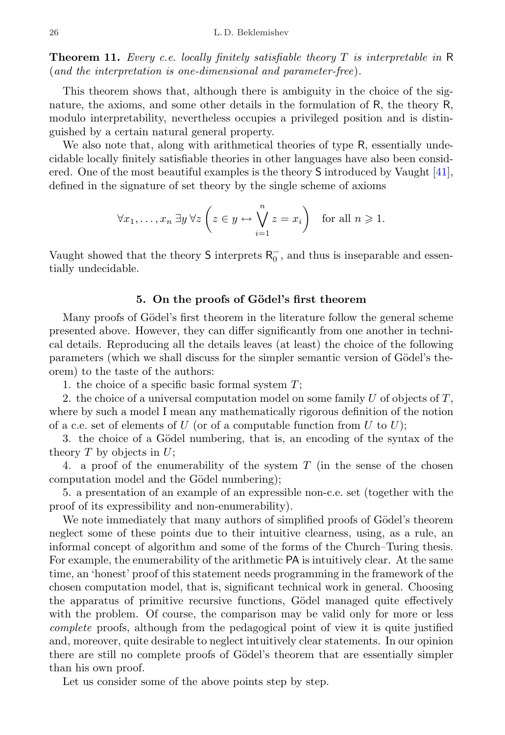**Theorem 11.** Every c.e. locally finitely satisfiable theory  $T$  is interpretable in  $\mathbb{R}$ (and the interpretation is one-dimensional and parameter-free).

This theorem shows that, although there is ambiguity in the choice of the signature, the axioms, and some other details in the formulation of R, the theory R, modulo interpretability, nevertheless occupies a privileged position and is distinguished by a certain natural general property.

We also note that, along with arithmetical theories of type R, essentially undecidable locally finitely satisfiable theories in other languages have also been considered. One of the most beautiful examples is the theory S introduced by Vaught [\[41\]](#page-40-5), defined in the signature of set theory by the single scheme of axioms

$$
\forall x_1, \dots, x_n \exists y \,\forall z \left( z \in y \leftrightarrow \bigvee_{i=1}^n z = x_i \right) \text{ for all } n \geqslant 1.
$$

Vaught showed that the theory  $S$  interprets  $R_0^-$ , and thus is inseparable and essentially undecidable.

#### 5. On the proofs of Gödel's first theorem

<span id="page-25-0"></span>Many proofs of Gödel's first theorem in the literature follow the general scheme presented above. However, they can differ significantly from one another in technical details. Reproducing all the details leaves (at least) the choice of the following parameters (which we shall discuss for the simpler semantic version of Gödel's theorem) to the taste of the authors:

1. the choice of a specific basic formal system  $T$ ;

2. the choice of a universal computation model on some family U of objects of  $T$ , where by such a model I mean any mathematically rigorous definition of the notion of a c.e. set of elements of U (or of a computable function from U to U);

3. the choice of a Gödel numbering, that is, an encoding of the syntax of the theory  $T$  by objects in  $U$ ;

4. a proof of the enumerability of the system T (in the sense of the chosen computation model and the Gödel numbering);

5. a presentation of an example of an expressible non-c.e. set (together with the proof of its expressibility and non-enumerability).

We note immediately that many authors of simplified proofs of Gödel's theorem neglect some of these points due to their intuitive clearness, using, as a rule, an informal concept of algorithm and some of the forms of the Church–Turing thesis. For example, the enumerability of the arithmetic PA is intuitively clear. At the same time, an 'honest' proof of this statement needs programming in the framework of the chosen computation model, that is, significant technical work in general. Choosing the apparatus of primitive recursive functions, Gödel managed quite effectively with the problem. Of course, the comparison may be valid only for more or less complete proofs, although from the pedagogical point of view it is quite justified and, moreover, quite desirable to neglect intuitively clear statements. In our opinion there are still no complete proofs of Gödel's theorem that are essentially simpler than his own proof.

Let us consider some of the above points step by step.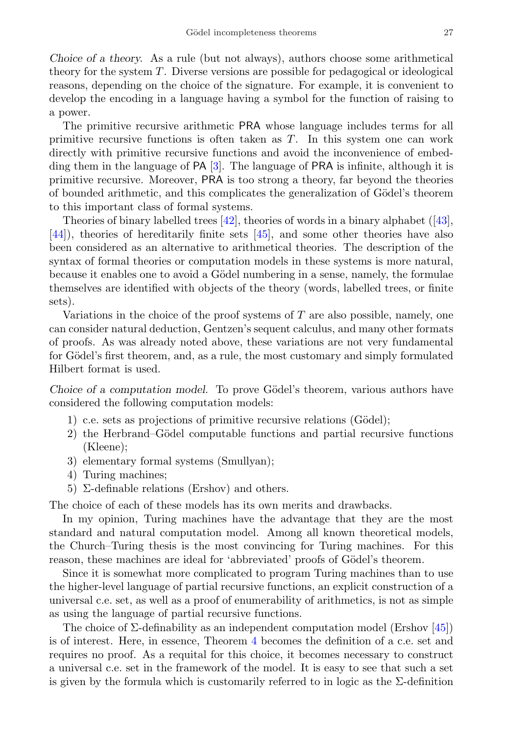Choice of a theory. As a rule (but not always), authors choose some arithmetical theory for the system T. Diverse versions are possible for pedagogical or ideological reasons, depending on the choice of the signature. For example, it is convenient to develop the encoding in a language having a symbol for the function of raising to a power.

The primitive recursive arithmetic PRA whose language includes terms for all primitive recursive functions is often taken as T. In this system one can work directly with primitive recursive functions and avoid the inconvenience of embedding them in the language of PA [\[3\]](#page-38-3). The language of PRA is infinite, although it is primitive recursive. Moreover, PRA is too strong a theory, far beyond the theories of bounded arithmetic, and this complicates the generalization of Gödel's theorem to this important class of formal systems.

Theories of binary labelled trees [\[42\]](#page-40-6), theories of words in a binary alphabet([\[43\]](#page-40-7), [\[44\]](#page-40-8)), theories of hereditarily finite sets [\[45\]](#page-40-9), and some other theories have also been considered as an alternative to arithmetical theories. The description of the syntax of formal theories or computation models in these systems is more natural, because it enables one to avoid a Gödel numbering in a sense, namely, the formulae themselves are identified with objects of the theory (words, labelled trees, or finite sets).

Variations in the choice of the proof systems of  $T$  are also possible, namely, one can consider natural deduction, Gentzen's sequent calculus, and many other formats of proofs. As was already noted above, these variations are not very fundamental for Gödel's first theorem, and, as a rule, the most customary and simply formulated Hilbert format is used.

Choice of a computation model. To prove Gödel's theorem, various authors have considered the following computation models:

- 1) c.e. sets as projections of primitive recursive relations (Gödel);
- 2) the Herbrand–Gödel computable functions and partial recursive functions (Kleene);
- 3) elementary formal systems (Smullyan);
- 4) Turing machines;
- 5) Σ-definable relations (Ershov) and others.

The choice of each of these models has its own merits and drawbacks.

In my opinion, Turing machines have the advantage that they are the most standard and natural computation model. Among all known theoretical models, the Church–Turing thesis is the most convincing for Turing machines. For this reason, these machines are ideal for 'abbreviated' proofs of Gödel's theorem.

Since it is somewhat more complicated to program Turing machines than to use the higher-level language of partial recursive functions, an explicit construction of a universal c.e. set, as well as a proof of enumerability of arithmetics, is not as simple as using the language of partial recursive functions.

The choice of  $\Sigma$ -definability as an independent computation model (Ershov [\[45\]](#page-40-9)) is of interest. Here, in essence, Theorem [4](#page-13-2) becomes the definition of a c.e. set and requires no proof. As a requital for this choice, it becomes necessary to construct a universal c.e. set in the framework of the model. It is easy to see that such a set is given by the formula which is customarily referred to in logic as the  $\Sigma$ -definition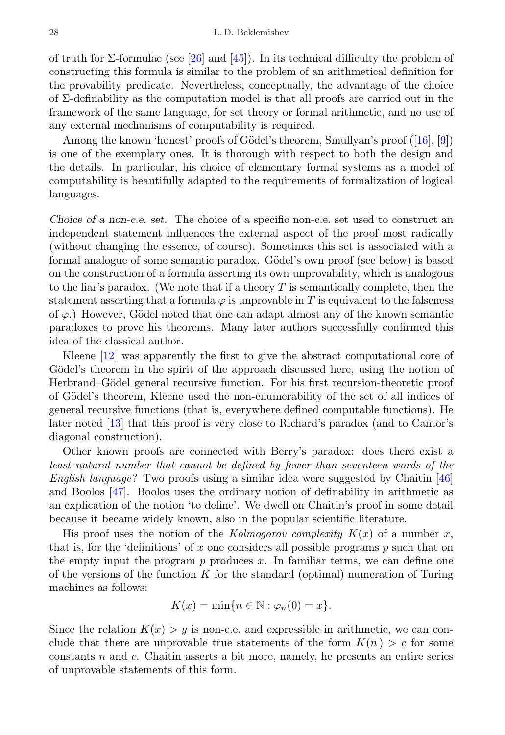of truth for Σ-formulae (see [\[26\]](#page-39-12) and [\[45\]](#page-40-9)). In its technical difficulty the problem of constructing this formula is similar to the problem of an arithmetical definition for the provability predicate. Nevertheless, conceptually, the advantage of the choice of  $\Sigma$ -definability as the computation model is that all proofs are carried out in the framework of the same language, for set theory or formal arithmetic, and no use of any external mechanisms of computability is required.

Amongthe known 'honest' proofs of Gödel's theorem, Smullyan's proof ([\[16\]](#page-39-1), [\[9\]](#page-38-13)) is one of the exemplary ones. It is thorough with respect to both the design and the details. In particular, his choice of elementary formal systems as a model of computability is beautifully adapted to the requirements of formalization of logical languages.

Choice of a non-c.e. set. The choice of a specific non-c.e. set used to construct an independent statement influences the external aspect of the proof most radically (without changing the essence, of course). Sometimes this set is associated with a formal analogue of some semantic paradox. Gödel's own proof (see below) is based on the construction of a formula asserting its own unprovability, which is analogous to the liar's paradox. (We note that if a theory T is semantically complete, then the statement asserting that a formula  $\varphi$  is unprovable in T is equivalent to the falseness of  $\varphi$ .) However, Gödel noted that one can adapt almost any of the known semantic paradoxes to prove his theorems. Many later authors successfully confirmed this idea of the classical author.

Kleene [\[12\]](#page-38-11) was apparently the first to give the abstract computational core of Gödel's theorem in the spirit of the approach discussed here, using the notion of Herbrand–Gödel general recursive function. For his first recursion-theoretic proof of Gödel's theorem, Kleene used the non-enumerability of the set of all indices of general recursive functions (that is, everywhere defined computable functions). He later noted [\[13\]](#page-38-12) that this proof is very close to Richard's paradox (and to Cantor's diagonal construction).

Other known proofs are connected with Berry's paradox: does there exist a least natural number that cannot be defined by fewer than seventeen words of the English language? Two proofs using a similar idea were suggested by Chaitin [\[46\]](#page-40-10) and Boolos [\[47\]](#page-40-11). Boolos uses the ordinary notion of definability in arithmetic as an explication of the notion 'to define'. We dwell on Chaitin's proof in some detail because it became widely known, also in the popular scientific literature.

His proof uses the notion of the Kolmogorov complexity  $K(x)$  of a number x, that is, for the 'definitions' of x one considers all possible programs  $p$  such that on the empty input the program  $p$  produces  $x$ . In familiar terms, we can define one of the versions of the function  $K$  for the standard (optimal) numeration of Turing machines as follows:

$$
K(x) = \min\{n \in \mathbb{N} : \varphi_n(0) = x\}.
$$

Since the relation  $K(x) > y$  is non-c.e. and expressible in arithmetic, we can conclude that there are unprovable true statements of the form  $K(n) > c$  for some constants  $n$  and  $c$ . Chaitin asserts a bit more, namely, he presents an entire series of unprovable statements of this form.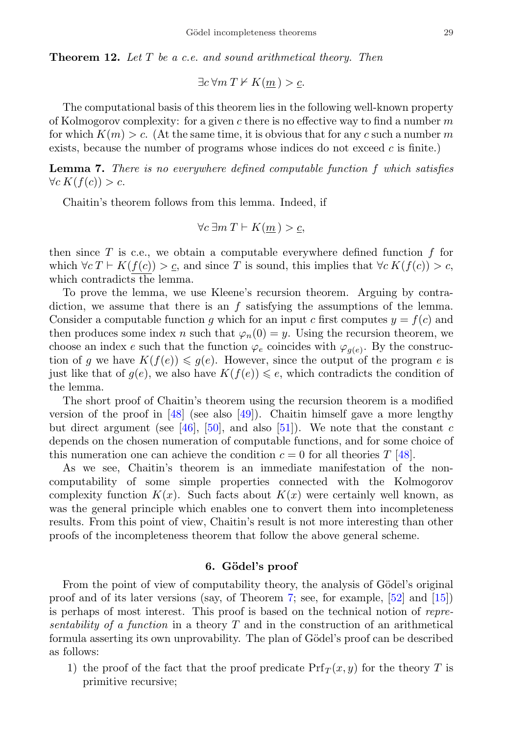**Theorem 12.** Let  $T$  be a c.e. and sound arithmetical theory. Then

 $\exists c \forall m \ T \nvdash K(m) > c.$ 

The computational basis of this theorem lies in the following well-known property of Kolmogorov complexity: for a given c there is no effective way to find a number  $m$ for which  $K(m) > c$ . (At the same time, it is obvious that for any c such a number m exists, because the number of programs whose indices do not exceed  $c$  is finite.)

Lemma 7. There is no everywhere defined computable function f which satisfies  $\forall c K(f(c)) > c.$ 

Chaitin's theorem follows from this lemma. Indeed, if

$$
\forall c \ \exists m \ T \vdash K(\underline{m}) > \underline{c},
$$

then since  $T$  is c.e., we obtain a computable everywhere defined function  $f$  for which  $\forall c \ T \vdash K(f(c)) > c$ , and since T is sound, this implies that  $\forall c \ K(f(c)) > c$ , which contradicts the lemma.

To prove the lemma, we use Kleene's recursion theorem. Arguing by contradiction, we assume that there is an f satisfying the assumptions of the lemma. Consider a computable function q which for an input c first computes  $y = f(c)$  and then produces some index n such that  $\varphi_n(0) = y$ . Using the recursion theorem, we choose an index e such that the function  $\varphi_e$  coincides with  $\varphi_{g(e)}$ . By the construction of g we have  $K(f(e)) \leq g(e)$ . However, since the output of the program e is just like that of  $g(e)$ , we also have  $K(f(e)) \leq e$ , which contradicts the condition of the lemma.

The short proof of Chaitin's theorem using the recursion theorem is a modified version of the proof in  $[48]$  (see also  $[49]$ ). Chaitin himself gave a more lengthy but direct argument (see [\[46\]](#page-40-10), [\[50\]](#page-40-14), and also [\[51\]](#page-40-15)). We note that the constant c depends on the chosen numeration of computable functions, and for some choice of this numeration one can achieve the condition  $c = 0$  for all theories T [\[48\]](#page-40-12).

As we see, Chaitin's theorem is an immediate manifestation of the noncomputability of some simple properties connected with the Kolmogorov complexity function  $K(x)$ . Such facts about  $K(x)$  were certainly well known, as was the general principle which enables one to convert them into incompleteness results. From this point of view, Chaitin's result is not more interesting than other proofs of the incompleteness theorem that follow the above general scheme.

#### 6. Gödel's proof

<span id="page-28-0"></span>From the point of view of computability theory, the analysis of Gödel's original proof and of its later versions (say, of Theorem [7;](#page-17-2) see, for example, [\[52\]](#page-40-16) and [\[15\]](#page-39-0)) is perhaps of most interest. This proof is based on the technical notion of representability of a function in a theory  $T$  and in the construction of an arithmetical formula asserting its own unprovability. The plan of Gödel's proof can be described as follows:

<span id="page-28-1"></span>1) the proof of the fact that the proof predicate  $Prf_T(x, y)$  for the theory T is primitive recursive;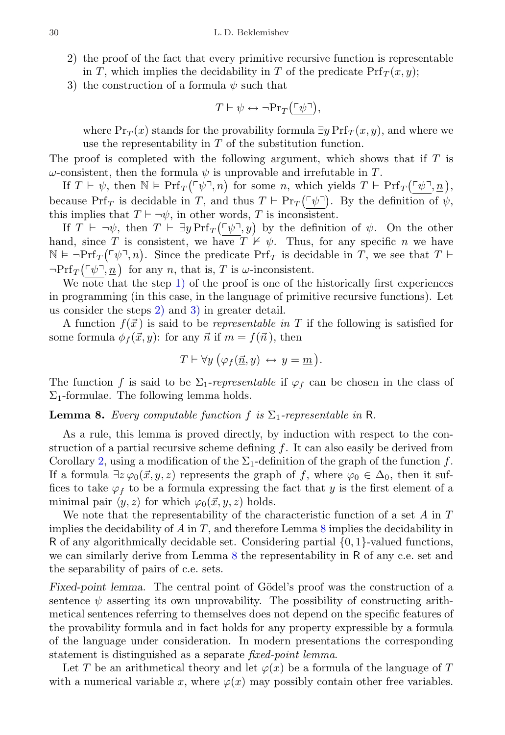- <span id="page-29-0"></span>2) the proof of the fact that every primitive recursive function is representable in T, which implies the decidability in T of the predicate  $Prf_{\mathcal{T}}(x, y)$ ;
- <span id="page-29-1"></span>3) the construction of a formula  $\psi$  such that

$$
T\vdash \psi \leftrightarrow \neg\mathrm{Pr}_T\big(\ulcorner\psi\urcorner\big),
$$

where  $Pr_T(x)$  stands for the provability formula  $\exists y Prf_T(x, y)$ , and where we use the representability in T of the substitution function.

The proof is completed with the following argument, which shows that if  $T$  is  $\omega$ -consistent, then the formula  $\psi$  is unprovable and irrefutable in T.

If  $T \vdash \psi$ , then  $\mathbb{N} \models Prf_T(\ulcorner \psi \urcorner, n)$  for some n, which yields  $T \vdash Prf_T(\ulcorner \psi \urcorner, \underline{n})$ , because  $Prf_T$  is decidable in T, and thus  $T \vdash Pr_T(\ulcorner \psi \urcorner)$ . By the definition of  $\psi$ , this implies that  $T \vdash \neg \psi$ , in other words, T is inconsistent.

If  $T \vdash \neg \psi$ , then  $T \vdash \exists y \Pr f_T(\ulcorner \psi \urcorner, y)$  by the definition of  $\psi$ . On the other hand, since T is consistent, we have  $T \nvdash \psi$ . Thus, for any specific n we have  $\mathbb{N} \models \neg \Pr f_T(\ulcorner \psi \urcorner, n)$ . Since the predicate  $\Pr f_T$  is decidable in T, we see that  $T \vdash$  $\neg \Pr f_T(\ulcorner \psi \urcorner, \underline{n})$  for any n, that is, T is  $\omega$ -inconsistent.

We note that the step [1\)](#page-28-1) of the proof is one of the historically first experiences in programming (in this case, in the language of primitive recursive functions). Let us consider the steps [2\)](#page-29-0) and [3\)](#page-29-1) in greater detail.

A function  $f(\vec{x})$  is said to be *representable in* T if the following is satisfied for some formula  $\phi_f(\vec{x}, y)$ : for any  $\vec{n}$  if  $m = f(\vec{n})$ , then

$$
T \vdash \forall y \ (\varphi_f(\underline{\vec{n}}, y) \leftrightarrow y = \underline{m}).
$$

The function f is said to be  $\Sigma_1$ -representable if  $\varphi_f$  can be chosen in the class of  $\Sigma_1$ -formulae. The following lemma holds.

<span id="page-29-2"></span>**Lemma 8.** Every computable function f is  $\Sigma_1$ -representable in R.

As a rule, this lemma is proved directly, by induction with respect to the construction of a partial recursive scheme defining f. It can also easily be derived from Corollary [2,](#page-17-3) using a modification of the  $\Sigma_1$ -definition of the graph of the function f. If a formula  $\exists z \varphi_0(\vec{x}, y, z)$  represents the graph of f, where  $\varphi_0 \in \Delta_0$ , then it suffices to take  $\varphi_f$  to be a formula expressing the fact that y is the first element of a minimal pair  $\langle y, z \rangle$  for which  $\varphi_0(\vec{x}, y, z)$  holds.

We note that the representability of the characteristic function of a set  $A$  in  $T$ implies the decidability of  $A$  in  $T$ , and therefore Lemma  $8$  implies the decidability in R of any algorithmically decidable set. Considering partial  $\{0, 1\}$ -valued functions, we can similarly derive from Lemma [8](#page-29-2) the representability in R of any c.e. set and the separability of pairs of c.e. sets.

Fixed-point lemma. The central point of Gödel's proof was the construction of a sentence  $\psi$  asserting its own unprovability. The possibility of constructing arithmetical sentences referring to themselves does not depend on the specific features of the provability formula and in fact holds for any property expressible by a formula of the language under consideration. In modern presentations the corresponding statement is distinguished as a separate fixed-point lemma.

Let T be an arithmetical theory and let  $\varphi(x)$  be a formula of the language of T with a numerical variable x, where  $\varphi(x)$  may possibly contain other free variables.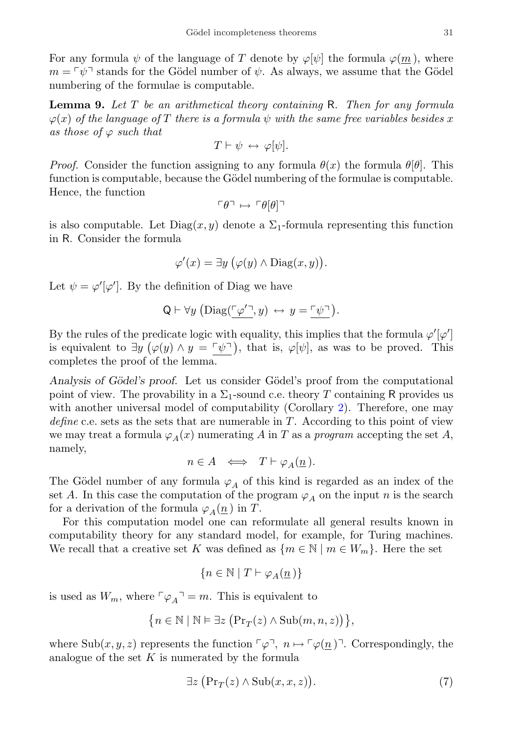For any formula  $\psi$  of the language of T denote by  $\varphi[\psi]$  the formula  $\varphi(m)$ , where  $m = \lceil \psi \rceil$  stands for the Gödel number of  $\psi$ . As always, we assume that the Gödel numbering of the formulae is computable.

<span id="page-30-1"></span>**Lemma 9.** Let  $T$  be an arithmetical theory containing R. Then for any formula  $\varphi(x)$  of the language of T there is a formula  $\psi$  with the same free variables besides x as those of  $\varphi$  such that

$$
T \vdash \psi \leftrightarrow \varphi[\psi].
$$

*Proof.* Consider the function assigning to any formula  $\theta(x)$  the formula  $\theta[\theta]$ . This function is computable, because the Gödel numbering of the formulae is computable. Hence, the function

$$
\ulcorner \theta \urcorner \mapsto \ulcorner \theta[\theta] \urcorner
$$

is also computable. Let  $Diag(x, y)$  denote a  $\Sigma_1$ -formula representing this function in R. Consider the formula

$$
\varphi'(x) = \exists y \ (\varphi(y) \land \text{Diag}(x, y)).
$$

Let  $\psi = \varphi'[\varphi']$ . By the definition of Diag we have

$$
Q \vdash \forall y \left( \mathrm{Diag}(\underline{\ulcorner \varphi' \urcorner}, y) \leftrightarrow y = \underline{\ulcorner \psi \urcorner} \right).
$$

By the rules of the predicate logic with equality, this implies that the formula  $\varphi'[\varphi']$ is equivalent to  $\exists y \ (\varphi(y) \land y = \neg \psi \neg)$ , that is,  $\varphi[\psi]$ , as was to be proved. This completes the proof of the lemma.

Analysis of Gödel's proof. Let us consider Gödel's proof from the computational point of view. The provability in a  $\Sigma_1$ -sound c.e. theory T containing R provides us with another universal model of computability (Corollary [2\)](#page-17-3). Therefore, one may define c.e. sets as the sets that are numerable in  $T$ . According to this point of view we may treat a formula  $\varphi_A(x)$  numerating A in T as a program accepting the set A, namely,

$$
n\in A\;\;\Longleftrightarrow\;\;T\vdash \varphi_A(\underline{n}\,).
$$

The Gödel number of any formula  $\varphi_A$  of this kind is regarded as an index of the set A. In this case the computation of the program  $\varphi_A$  on the input n is the search for a derivation of the formula  $\varphi_A(\underline{n})$  in T.

For this computation model one can reformulate all general results known in computability theory for any standard model, for example, for Turing machines. We recall that a creative set K was defined as  $\{m \in \mathbb{N} \mid m \in W_m\}$ . Here the set

$$
\{n\in\mathbb{N}\mid T\vdash \varphi_A(\underline{n}\,)\}
$$

is used as  $W_m$ , where  $\lceil \varphi_A \rceil = m$ . This is equivalent to

$$
\big\{n\in\mathbb{N}\mid\mathbb{N}\vDash\exists z\;\big(\text{Pr}_T(z)\wedge\text{Sub}(m,n,z)\big)\big\},
$$

where Sub $(x, y, z)$  represents the function  $\lceil \varphi \rceil$ ,  $n \mapsto \lceil \varphi(\underline{n}) \rceil$ . Correspondingly, the analogue of the set  $K$  is numerated by the formula

<span id="page-30-0"></span>
$$
\exists z \left( \Pr_T(z) \land \text{Sub}(x, x, z) \right). \tag{7}
$$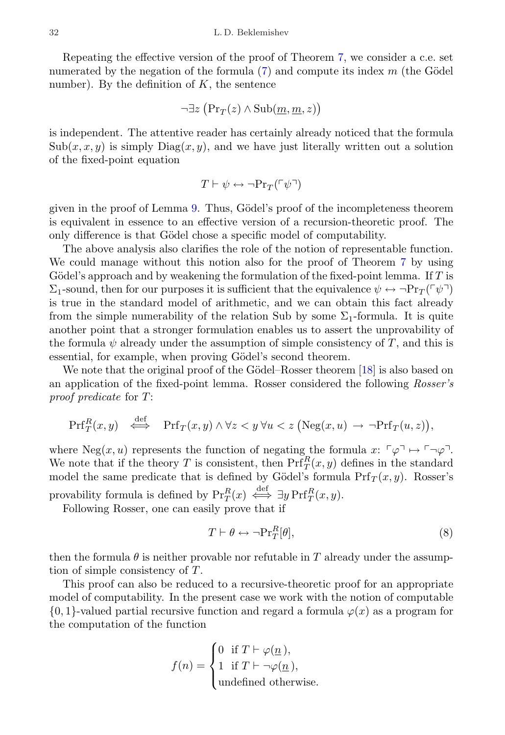Repeating the effective version of the proof of Theorem [7,](#page-17-2) we consider a c.e. set numerated by the negation of the formula  $(7)$  and compute its index m (the Gödel number). By the definition of  $K$ , the sentence

$$
\neg \exists z \ \big(\Pr_T(z) \land \text{Sub}(\underline{m}, \underline{m}, z)\big)
$$

is independent. The attentive reader has certainly already noticed that the formula  $\text{Sub}(x, x, y)$  is simply  $\text{Diag}(x, y)$ , and we have just literally written out a solution of the fixed-point equation

$$
T\vdash \psi \leftrightarrow \neg\mathrm{Pr}_T(\ulcorner\psi\urcorner)
$$

given in the proof of Lemma [9.](#page-30-1) Thus, Gödel's proof of the incompleteness theorem is equivalent in essence to an effective version of a recursion-theoretic proof. The only difference is that Gödel chose a specific model of computability.

The above analysis also clarifies the role of the notion of representable function. We could manage without this notion also for the proof of Theorem [7](#page-17-2) by using Gödel's approach and by weakening the formulation of the fixed-point lemma. If  $T$  is  $\Sigma_1$ -sound, then for our purposes it is sufficient that the equivalence  $\psi \leftrightarrow \neg \Pr_{T}(\ulcorner \psi \urcorner)$ is true in the standard model of arithmetic, and we can obtain this fact already from the simple numerability of the relation Sub by some  $\Sigma_1$ -formula. It is quite another point that a stronger formulation enables us to assert the unprovability of the formula  $\psi$  already under the assumption of simple consistency of T, and this is essential, for example, when proving Gödel's second theorem.

We note that the original proof of the Gödel–Rosser theorem  $[18]$  is also based on an application of the fixed-point lemma. Rosser considered the following Rosser's proof predicate for T:

$$
\Pr{f_T^R(x,y)} \iff \Pr{f_T(x,y) \land \forall z < y \,\forall u < z \,\big(\text{Neg}(x,u) \to \neg \text{Prf}_T(u,z)\big),}
$$

where Neg $(x, u)$  represents the function of negating the formula  $x: \ulcorner \varphi \urcorner \mapsto \ulcorner \neg \varphi \urcorner$ . We note that if the theory T is consistent, then  $\text{Prf}_T^R(x, y)$  defines in the standard model the same predicate that is defined by Gödel's formula  $Pr(T(x, y)$ . Rosser's provability formula is defined by  $Pr_T^R(x) \iff \exists y Pr f_T^R(x, y)$ .

Following Rosser, one can easily prove that if

<span id="page-31-0"></span>
$$
T \vdash \theta \leftrightarrow \neg \Pr_T^R[\theta],\tag{8}
$$

then the formula  $\theta$  is neither provable nor refutable in T already under the assumption of simple consistency of T.

This proof can also be reduced to a recursive-theoretic proof for an appropriate model of computability. In the present case we work with the notion of computable  $\{0,1\}$ -valued partial recursive function and regard a formula  $\varphi(x)$  as a program for the computation of the function

$$
f(n) = \begin{cases} 0 & \text{if } T \vdash \varphi(\underline{n}), \\ 1 & \text{if } T \vdash \neg \varphi(\underline{n}), \\ \text{undefined otherwise.} \end{cases}
$$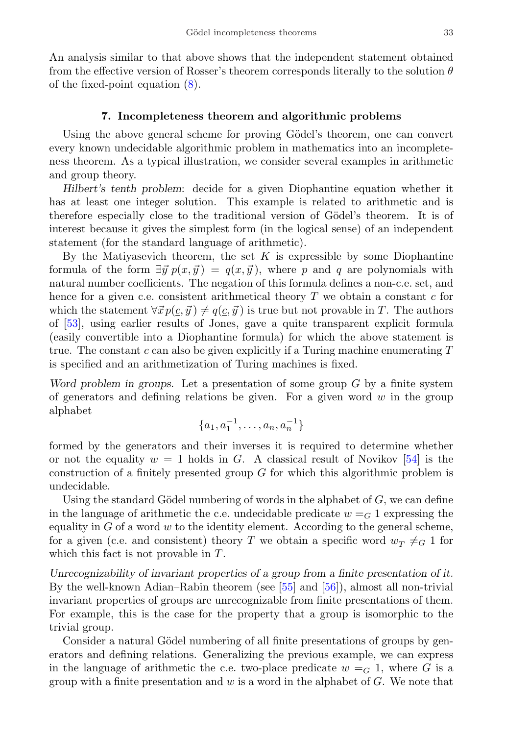An analysis similar to that above shows that the independent statement obtained from the effective version of Rosser's theorem corresponds literally to the solution  $\theta$ of the fixed-point equation [\(8\)](#page-31-0).

## 7. Incompleteness theorem and algorithmic problems

<span id="page-32-0"></span>Using the above general scheme for proving Gödel's theorem, one can convert every known undecidable algorithmic problem in mathematics into an incompleteness theorem. As a typical illustration, we consider several examples in arithmetic and group theory.

Hilbert's tenth problem: decide for a given Diophantine equation whether it has at least one integer solution. This example is related to arithmetic and is therefore especially close to the traditional version of Gödel's theorem. It is of interest because it gives the simplest form (in the logical sense) of an independent statement (for the standard language of arithmetic).

By the Matiyasevich theorem, the set  $K$  is expressible by some Diophantine formula of the form  $\exists \vec{y} p(x, \vec{y}) = q(x, \vec{y})$ , where p and q are polynomials with natural number coefficients. The negation of this formula defines a non-c.e. set, and hence for a given c.e. consistent arithmetical theory  $T$  we obtain a constant  $c$  for which the statement  $\forall \vec{x} p(c, \vec{y}) \neq q(c, \vec{y})$  is true but not provable in T. The authors of [\[53\]](#page-40-17), using earlier results of Jones, gave a quite transparent explicit formula (easily convertible into a Diophantine formula) for which the above statement is true. The constant c can also be given explicitly if a Turing machine enumerating  $T$ is specified and an arithmetization of Turing machines is fixed.

Word problem in groups. Let a presentation of some group  $G$  by a finite system of generators and defining relations be given. For a given word  $w$  in the group alphabet

$$
\{a_1, a_1^{-1}, \ldots, a_n, a_n^{-1}\}
$$

formed by the generators and their inverses it is required to determine whether or not the equality  $w = 1$  holds in G. A classical result of Novikov [\[54\]](#page-41-0) is the construction of a finitely presented group G for which this algorithmic problem is undecidable.

Using the standard Gödel numbering of words in the alphabet of  $G$ , we can define in the language of arithmetic the c.e. undecidable predicate  $w = G$  1 expressing the equality in  $G$  of a word  $w$  to the identity element. According to the general scheme, for a given (c.e. and consistent) theory T we obtain a specific word  $w_T \neq_G 1$  for which this fact is not provable in T.

Unrecognizability of invariant properties of a group from a finite presentation of it. By the well-known Adian–Rabin theorem (see [\[55\]](#page-41-1) and [\[56\]](#page-41-2)), almost all non-trivial invariant properties of groups are unrecognizable from finite presentations of them. For example, this is the case for the property that a group is isomorphic to the trivial group.

Consider a natural Gödel numbering of all finite presentations of groups by generators and defining relations. Generalizing the previous example, we can express in the language of arithmetic the c.e. two-place predicate  $w = G_1$ , where G is a group with a finite presentation and  $w$  is a word in the alphabet of  $G$ . We note that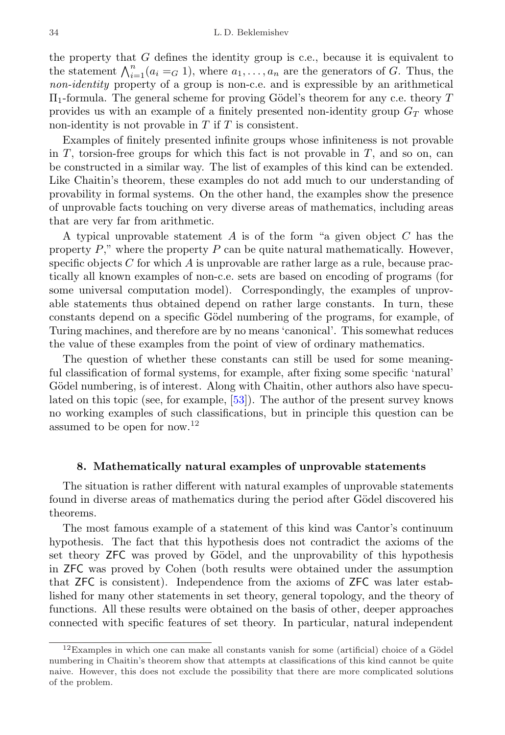the property that  $G$  defines the identity group is c.e., because it is equivalent to the statement  $\bigwedge_{i=1}^{n} (a_i =_G 1)$ , where  $a_1, \ldots, a_n$  are the generators of G. Thus, the non-identity property of a group is non-c.e. and is expressible by an arithmetical  $\Pi_1$ -formula. The general scheme for proving Gödel's theorem for any c.e. theory T provides us with an example of a finitely presented non-identity group  $G_T$  whose non-identity is not provable in  $T$  if  $T$  is consistent.

Examples of finitely presented infinite groups whose infiniteness is not provable in  $T$ , torsion-free groups for which this fact is not provable in  $T$ , and so on, can be constructed in a similar way. The list of examples of this kind can be extended. Like Chaitin's theorem, these examples do not add much to our understanding of provability in formal systems. On the other hand, the examples show the presence of unprovable facts touching on very diverse areas of mathematics, including areas that are very far from arithmetic.

A typical unprovable statement  $A$  is of the form "a given object  $C$  has the property  $P$ ," where the property  $P$  can be quite natural mathematically. However, specific objects  $C$  for which  $A$  is unprovable are rather large as a rule, because practically all known examples of non-c.e. sets are based on encoding of programs (for some universal computation model). Correspondingly, the examples of unprovable statements thus obtained depend on rather large constants. In turn, these constants depend on a specific Gödel numbering of the programs, for example, of Turing machines, and therefore are by no means 'canonical'. This somewhat reduces the value of these examples from the point of view of ordinary mathematics.

The question of whether these constants can still be used for some meaningful classification of formal systems, for example, after fixing some specific 'natural' Gödel numbering, is of interest. Along with Chaitin, other authors also have speculated on this topic (see, for example, [\[53\]](#page-40-17)). The author of the present survey knows no working examples of such classifications, but in principle this question can be assumed to be open for now.[12](#page-33-1)

#### 8. Mathematically natural examples of unprovable statements

<span id="page-33-0"></span>The situation is rather different with natural examples of unprovable statements found in diverse areas of mathematics during the period after Gödel discovered his theorems.

The most famous example of a statement of this kind was Cantor's continuum hypothesis. The fact that this hypothesis does not contradict the axioms of the set theory ZFC was proved by Gödel, and the unprovability of this hypothesis in ZFC was proved by Cohen (both results were obtained under the assumption that ZFC is consistent). Independence from the axioms of ZFC was later established for many other statements in set theory, general topology, and the theory of functions. All these results were obtained on the basis of other, deeper approaches connected with specific features of set theory. In particular, natural independent

<span id="page-33-1"></span> $12$ Examples in which one can make all constants vanish for some (artificial) choice of a Gödel numbering in Chaitin's theorem show that attempts at classifications of this kind cannot be quite naive. However, this does not exclude the possibility that there are more complicated solutions of the problem.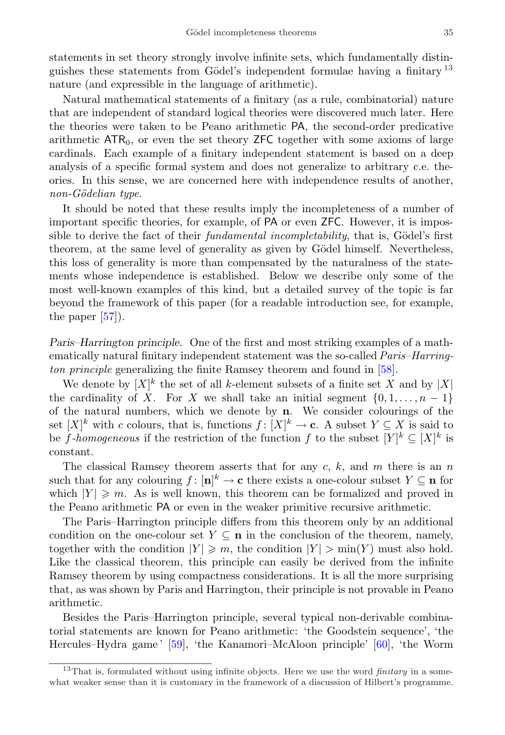statements in set theory strongly involve infinite sets, which fundamentally distinguishes these statements from Gödel's independent formulae having a finitary  $^{13}$  $^{13}$  $^{13}$ nature (and expressible in the language of arithmetic).

Natural mathematical statements of a finitary (as a rule, combinatorial) nature that are independent of standard logical theories were discovered much later. Here the theories were taken to be Peano arithmetic PA, the second-order predicative arithmetic  $ATR<sub>0</sub>$ , or even the set theory  $ZFC$  together with some axioms of large cardinals. Each example of a finitary independent statement is based on a deep analysis of a specific formal system and does not generalize to arbitrary c.e. theories. In this sense, we are concerned here with independence results of another, non-Gödelian type.

It should be noted that these results imply the incompleteness of a number of important specific theories, for example, of PA or even ZFC. However, it is impossible to derive the fact of their *fundamental incompletability*, that is, Gödel's first theorem, at the same level of generality as given by Gödel himself. Nevertheless, this loss of generality is more than compensated by the naturalness of the statements whose independence is established. Below we describe only some of the most well-known examples of this kind, but a detailed survey of the topic is far beyond the framework of this paper (for a readable introduction see, for example, the paper [\[57\]](#page-41-3)).

Paris–Harrington principle. One of the first and most striking examples of a mathematically natural finitary independent statement was the so-called *Paris–Harring*ton principle generalizing the finite Ramsey theorem and found in [\[58\]](#page-41-4).

We denote by  $[X]^k$  the set of all k-element subsets of a finite set X and by  $|X|$ the cardinality of X. For X we shall take an initial segment  $\{0, 1, \ldots, n-1\}$ of the natural numbers, which we denote by n. We consider colourings of the set  $[X]^k$  with c colours, that is, functions  $f: [X]^k \to \mathbf{c}$ . A subset  $Y \subseteq X$  is said to be f-homogeneous if the restriction of the function f to the subset  $[Y]^k \subseteq [X]^k$  is constant.

The classical Ramsey theorem asserts that for any c, k, and m there is an n such that for any colouring  $f: [n]^k \to \mathbf{c}$  there exists a one-colour subset  $Y \subseteq \mathbf{n}$  for which  $|Y| \geq m$ . As is well known, this theorem can be formalized and proved in the Peano arithmetic PA or even in the weaker primitive recursive arithmetic.

The Paris–Harrington principle differs from this theorem only by an additional condition on the one-colour set  $Y \subseteq n$  in the conclusion of the theorem, namely, together with the condition  $|Y| \geq m$ , the condition  $|Y| > min(Y)$  must also hold. Like the classical theorem, this principle can easily be derived from the infinite Ramsey theorem by using compactness considerations. It is all the more surprising that, as was shown by Paris and Harrington, their principle is not provable in Peano arithmetic.

Besides the Paris–Harrington principle, several typical non-derivable combinatorial statements are known for Peano arithmetic: 'the Goodstein sequence', 'the Hercules–Hydra game ' [\[59\]](#page-41-5), 'the Kanamori–McAloon principle' [\[60\]](#page-41-6), 'the Worm

<span id="page-34-0"></span><sup>&</sup>lt;sup>13</sup>That is, formulated without using infinite objects. Here we use the word *finitary* in a somewhat weaker sense than it is customary in the framework of a discussion of Hilbert's programme.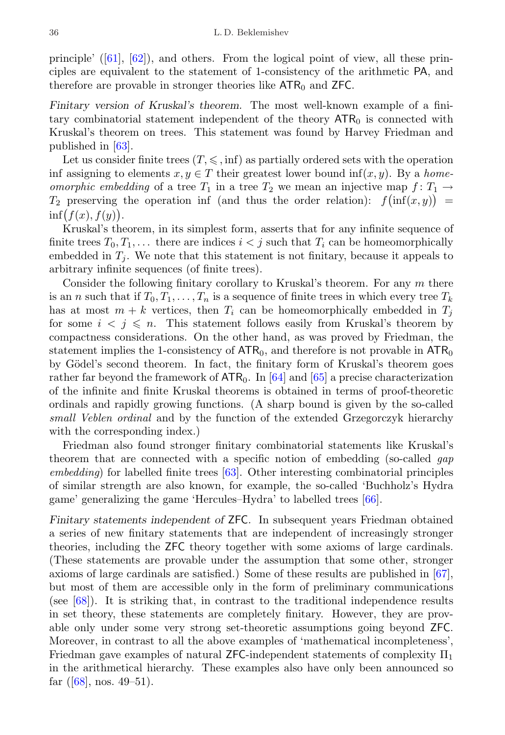principle' $([61], [62])$  $([61], [62])$  $([61], [62])$  $([61], [62])$  $([61], [62])$ , and others. From the logical point of view, all these principles are equivalent to the statement of 1-consistency of the arithmetic PA, and therefore are provable in stronger theories like  $ATR_0$  and  $ZFC$ .

Finitary version of Kruskal's theorem. The most well-known example of a finitary combinatorial statement independent of the theory  $ATR_0$  is connected with Kruskal's theorem on trees. This statement was found by Harvey Friedman and published in [\[63\]](#page-41-9).

Let us consider finite trees  $(T, \leq \xi, \inf)$  as partially ordered sets with the operation inf assigning to elements  $x, y \in T$  their greatest lower bound inf $(x, y)$ . By a *home*omorphic embedding of a tree  $T_1$  in a tree  $T_2$  we mean an injective map  $f: T_1 \rightarrow$  $T_2$  preserving the operation inf (and thus the order relation):  $f(\inf(x,y)) =$  $\inf(f(x), f(y)).$ 

Kruskal's theorem, in its simplest form, asserts that for any infinite sequence of finite trees  $T_0, T_1, \ldots$  there are indices  $i < j$  such that  $T_i$  can be homeomorphically embedded in  $T_i$ . We note that this statement is not finitary, because it appeals to arbitrary infinite sequences (of finite trees).

Consider the following finitary corollary to Kruskal's theorem. For any  $m$  there is an n such that if  $T_0, T_1, \ldots, T_n$  is a sequence of finite trees in which every tree  $T_k$ has at most  $m + k$  vertices, then  $T_i$  can be homeomorphically embedded in  $T_j$ for some  $i < j \n\leq n$ . This statement follows easily from Kruskal's theorem by compactness considerations. On the other hand, as was proved by Friedman, the statement implies the 1-consistency of  $ATR_0$ , and therefore is not provable in  $ATR_0$ by Gödel's second theorem. In fact, the finitary form of Kruskal's theorem goes rather far beyond the framework of  $ATR_0$ . In [\[64\]](#page-41-10) and [\[65\]](#page-41-11) a precise characterization of the infinite and finite Kruskal theorems is obtained in terms of proof-theoretic ordinals and rapidly growing functions. (A sharp bound is given by the so-called small Veblen ordinal and by the function of the extended Grzegorczyk hierarchy with the corresponding index.)

Friedman also found stronger finitary combinatorial statements like Kruskal's theorem that are connected with a specific notion of embedding (so-called *gap*)  $embedding)$  for labelled finite trees  $[63]$ . Other interesting combinatorial principles of similar strength are also known, for example, the so-called 'Buchholz's Hydra game' generalizing the game 'Hercules–Hydra' to labelled trees [\[66\]](#page-41-12).

Finitary statements independent of ZFC. In subsequent years Friedman obtained a series of new finitary statements that are independent of increasingly stronger theories, including the ZFC theory together with some axioms of large cardinals. (These statements are provable under the assumption that some other, stronger axioms of large cardinals are satisfied.) Some of these results are published in [\[67\]](#page-41-13), but most of them are accessible only in the form of preliminary communications (see [\[68\]](#page-41-14)). It is striking that, in contrast to the traditional independence results in set theory, these statements are completely finitary. However, they are provable only under some very strong set-theoretic assumptions going beyond ZFC. Moreover, in contrast to all the above examples of 'mathematical incompleteness', Friedman gave examples of natural ZFC-independent statements of complexity  $\Pi_1$ in the arithmetical hierarchy. These examples also have only been announced so far $([68]$  $([68]$ , nos. 49–51).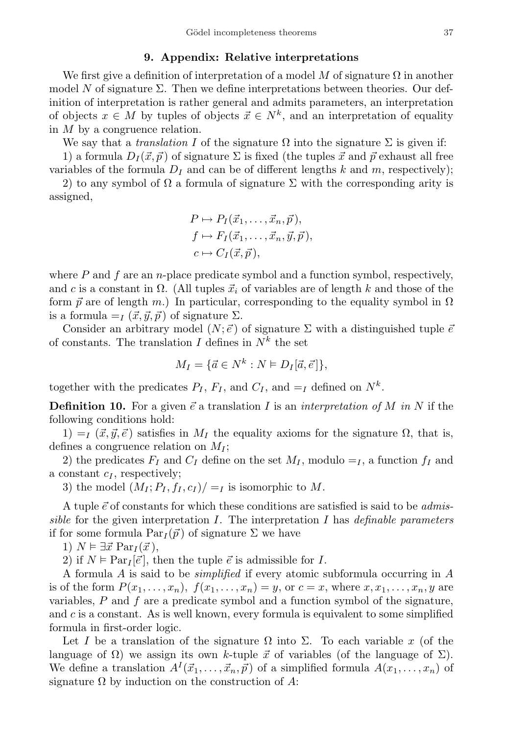#### 9. Appendix: Relative interpretations

<span id="page-36-0"></span>We first give a definition of interpretation of a model M of signature  $\Omega$  in another model N of signature  $\Sigma$ . Then we define interpretations between theories. Our definition of interpretation is rather general and admits parameters, an interpretation of objects  $x \in M$  by tuples of objects  $\vec{x} \in N^k$ , and an interpretation of equality in M by a congruence relation.

We say that a *translation I* of the signature  $\Omega$  into the signature  $\Sigma$  is given if:

1) a formula  $D_I(\vec{x}, \vec{p})$  of signature  $\Sigma$  is fixed (the tuples  $\vec{x}$  and  $\vec{p}$  exhaust all free variables of the formula  $D<sub>I</sub>$  and can be of different lengths k and m, respectively);

2) to any symbol of  $\Omega$  a formula of signature  $\Sigma$  with the corresponding arity is assigned,

$$
P \mapsto P_I(\vec{x}_1, \dots, \vec{x}_n, \vec{p}),
$$
  
\n
$$
f \mapsto F_I(\vec{x}_1, \dots, \vec{x}_n, \vec{y}, \vec{p}),
$$
  
\n
$$
c \mapsto C_I(\vec{x}, \vec{p}),
$$

where  $P$  and  $f$  are an n-place predicate symbol and a function symbol, respectively, and c is a constant in  $\Omega$ . (All tuples  $\vec{x}_i$  of variables are of length k and those of the form  $\vec{p}$  are of length m.) In particular, corresponding to the equality symbol in  $\Omega$ is a formula  $=I (\vec{x}, \vec{y}, \vec{p})$  of signature  $\Sigma$ .

Consider an arbitrary model  $(N; \vec{e})$  of signature  $\Sigma$  with a distinguished tuple  $\vec{e}$ of constants. The translation I defines in  $N^k$  the set

$$
M_I = \{ \vec{a} \in N^k : N \models D_I[\vec{a}, \vec{e}] \},
$$

together with the predicates  $P_I$ ,  $F_I$ , and  $C_I$ , and  $=I$  defined on  $N^k$ .

**Definition 10.** For a given  $\vec{e}$  a translation I is an interpretation of M in N if the following conditions hold:

1)  $=I (\vec{x}, \vec{y}, \vec{e})$  satisfies in  $M_I$  the equality axioms for the signature  $\Omega$ , that is, defines a congruence relation on  $M_I$ ;

2) the predicates  $F_I$  and  $C_I$  define on the set  $M_I$ , modulo  $=_I$ , a function  $f_I$  and a constant  $c_I$ , respectively;

3) the model  $(M_I; P_I, f_I, c_I)/=I$  is isomorphic to M.

A tuple  $\vec{e}$  of constants for which these conditions are satisfied is said to be *admis*sible for the given interpretation  $I$ . The interpretation  $I$  has definable parameters if for some formula  $Par_I(\vec{p})$  of signature  $\Sigma$  we have

1)  $N \vDash \exists \vec{x} \; \text{Par}_I(\vec{x}),$ 

2) if  $N \models Par_I[\vec{e}]$ , then the tuple  $\vec{e}$  is admissible for I.

A formula A is said to be simplified if every atomic subformula occurring in A is of the form  $P(x_1, \ldots, x_n)$ ,  $f(x_1, \ldots, x_n) = y$ , or  $c = x$ , where  $x, x_1, \ldots, x_n, y$  are variables,  $P$  and  $f$  are a predicate symbol and a function symbol of the signature, and  $c$  is a constant. As is well known, every formula is equivalent to some simplified formula in first-order logic.

Let I be a translation of the signature  $\Omega$  into  $\Sigma$ . To each variable x (of the language of  $\Omega$ ) we assign its own k-tuple  $\vec{x}$  of variables (of the language of  $\Sigma$ ). We define a translation  $A^I(\vec{x}_1, \ldots, \vec{x}_n, \vec{p})$  of a simplified formula  $A(x_1, \ldots, x_n)$  of signature  $\Omega$  by induction on the construction of A: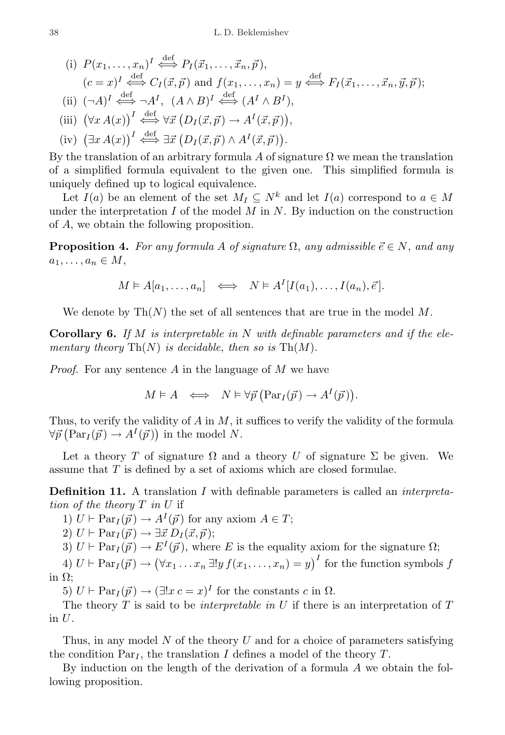(i) 
$$
P(x_1, ..., x_n)^I \stackrel{\text{def}}{\iff} P_I(\vec{x}_1, ..., \vec{x}_n, \vec{p}),
$$
  
\n $(c = x)^I \stackrel{\text{def}}{\iff} C_I(\vec{x}, \vec{p})$  and  $f(x_1, ..., x_n) = y \stackrel{\text{def}}{\iff} F_I(\vec{x}_1, ..., \vec{x}_n, \vec{y}, \vec{p});$   
\n(ii)  $(\neg A)^I \stackrel{\text{def}}{\iff} \neg A^I$ ,  $(A \land B)^I \stackrel{\text{def}}{\iff} (A^I \land B^I),$   
\n(iii)  $(\forall x A(x))^I \stackrel{\text{def}}{\iff} \forall \vec{x} (D_I(\vec{x}, \vec{p}) \rightarrow A^I(\vec{x}, \vec{p})),$   
\n(iv)  $(\exists x A(x))^I \stackrel{\text{def}}{\iff} \exists \vec{x} (D_I(\vec{x}, \vec{p}) \land A^I(\vec{x}, \vec{p})).$ 

By the translation of an arbitrary formula A of signature  $\Omega$  we mean the translation of a simplified formula equivalent to the given one. This simplified formula is uniquely defined up to logical equivalence.

Let  $I(a)$  be an element of the set  $M_I \subseteq N^k$  and let  $I(a)$  correspond to  $a \in M$ under the interpretation  $I$  of the model  $M$  in  $N$ . By induction on the construction of A, we obtain the following proposition.

**Proposition 4.** For any formula A of signature  $\Omega$ , any admissible  $\vec{e} \in N$ , and any  $a_1, \ldots, a_n \in M$ ,

$$
M \vDash A[a_1, \ldots, a_n] \iff N \vDash A^I[I(a_1), \ldots, I(a_n), \vec{e}].
$$

We denote by  $\text{Th}(N)$  the set of all sentences that are true in the model M.

**Corollary 6.** If M is interpretable in N with definable parameters and if the elementary theory  $\text{Th}(N)$  is decidable, then so is  $\text{Th}(M)$ .

*Proof.* For any sentence A in the language of M we have

$$
M \vDash A \iff N \vDash \forall \vec{p} \left( \operatorname{Par}_{I}(\vec{p}) \to A^{I}(\vec{p}) \right).
$$

Thus, to verify the validity of  $A$  in  $M$ , it suffices to verify the validity of the formula  $\forall \vec{p} \left( \mathrm{Par}_{I}(\vec{p}) \rightarrow A^{I}(\vec{p}) \right)$  in the model N.

Let a theory T of signature  $\Omega$  and a theory U of signature  $\Sigma$  be given. We assume that T is defined by a set of axioms which are closed formulae.

Definition 11. A translation I with definable parameters is called an interpretation of the theory T in U if

1)  $U \vdash Par_I(\vec{p}) \rightarrow A^I(\vec{p})$  for any axiom  $A \in T$ ;

2)  $U \vdash \text{Par}_I(\vec{p}) \rightarrow \exists \vec{x} \ D_I(\vec{x}, \vec{p});$ 

3)  $U \vdash Par_I(\vec{p}) \rightarrow E^I(\vec{p})$ , where E is the equality axiom for the signature  $\Omega$ ;

4)  $U \vdash \text{Par}_I(\vec{p}) \rightarrow (\forall x_1 \ldots x_n \exists! y f(x_1, \ldots, x_n) = y)^I$  for the function symbols f in Ω;

5)  $U \vdash Par_I(\vec{p}) \rightarrow (\exists !x \, c = x)^I$  for the constants c in  $\Omega$ .

The theory T is said to be *interpretable in U* if there is an interpretation of  $T$ in  $U$ .

Thus, in any model  $N$  of the theory  $U$  and for a choice of parameters satisfying the condition  $Par<sub>I</sub>$ , the translation I defines a model of the theory T.

By induction on the length of the derivation of a formula A we obtain the following proposition.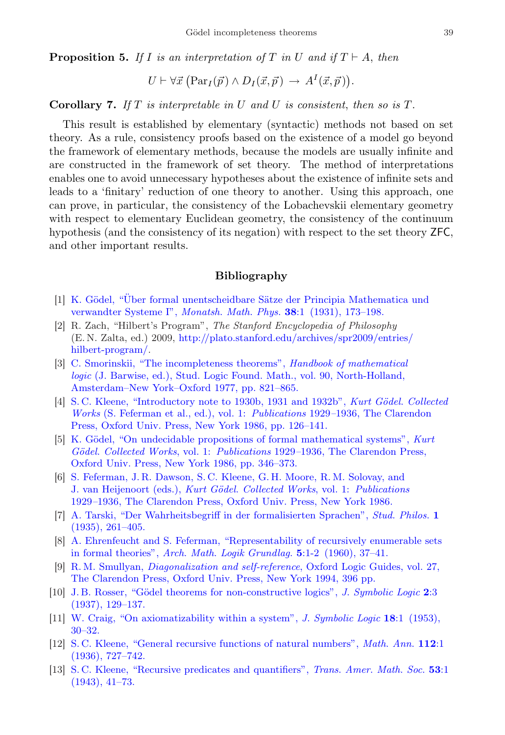**Proposition 5.** If I is an interpretation of T in U and if  $T \vdash A$ , then

$$
U \vdash \forall \vec{x} \ (\operatorname{Par}_I(\vec{p}) \land D_I(\vec{x}, \vec{p}) \rightarrow A^I(\vec{x}, \vec{p})).
$$

**Corollary 7.** If T is interpretable in U and U is consistent, then so is  $T$ .

This result is established by elementary (syntactic) methods not based on set theory. As a rule, consistency proofs based on the existence of a model go beyond the framework of elementary methods, because the models are usually infinite and are constructed in the framework of set theory. The method of interpretations enables one to avoid unnecessary hypotheses about the existence of infinite sets and leads to a 'finitary' reduction of one theory to another. Using this approach, one can prove, in particular, the consistency of the Lobachevskii elementary geometry with respect to elementary Euclidean geometry, the consistency of the continuum hypothesis (and the consistency of its negation) with respect to the set theory ZFC, and other important results.

## Bibliography

- <span id="page-38-1"></span><span id="page-38-0"></span>[1] K. Gödel, "Über formal unentscheidbare Sätze der Principia Mathematica und [verwandter Systeme I",](http://dx.doi.org/10.1007/BF01700692) Monatsh. Math. Phys. 38:1 (1931), 173–198.
- <span id="page-38-2"></span>[2] R. Zach, "Hilbert's Program", The Stanford Encyclopedia of Philosophy (E. N. Zalta, ed.) 2009, [http://plato.stanford.edu/archives/spr2009/entries/](http://plato.stanford.edu/archives/spr2009/entries/hilbert-program/) [hilbert-program/.](http://plato.stanford.edu/archives/spr2009/entries/hilbert-program/)
- <span id="page-38-3"></span>[3] [C. Smorinskii, "The incompleteness theorems",](http://www.ams.org/mathscinet-getitem?mr=0457132) Handbook of mathematical logic [\(J. Barwise, ed.\), Stud. Logic Found. Math., vol. 90, North-Holland,](http://www.ams.org/mathscinet-getitem?mr=0457132) [Amsterdam–New York–Oxford 1977, pp. 821–865.](http://www.ams.org/mathscinet-getitem?mr=0457132)
- <span id="page-38-4"></span>[4] [S. C. Kleene, "Introductory note to 1930b, 1931 and 1932b",](http://www.zentralblatt-math.org/zmath/search/?an=Zbl 0592.01035) Kurt Gödel. Collected Works [\(S. Feferman et al., ed.\), vol. 1:](http://www.zentralblatt-math.org/zmath/search/?an=Zbl 0592.01035) Publications 1929–1936, The Clarendon [Press, Oxford Univ. Press, New York 1986, pp. 126–141.](http://www.zentralblatt-math.org/zmath/search/?an=Zbl 0592.01035)
- <span id="page-38-5"></span>[5] K. Gödel, "On undecidable propositions of formal mathematical systems", Kurt Gödel. Collected Works, vol. 1: Publications 1929-[1936, The Clarendon Press,](http://www.zentralblatt-math.org/zmath/search/?an=Zbl 0592.01035) [Oxford Univ. Press, New York 1986, pp. 346–373.](http://www.zentralblatt-math.org/zmath/search/?an=Zbl 0592.01035)
- <span id="page-38-6"></span>[6] [S. Feferman, J. R. Dawson, S. C. Kleene, G. H. Moore, R. M. Solovay, and](http://www.zentralblatt-math.org/zmath/search/?an=Zbl 0592.01035) [J. van Heijenoort \(eds.\),](http://www.zentralblatt-math.org/zmath/search/?an=Zbl 0592.01035) Kurt Gödel. Collected Works, vol. 1: Publications 1929–[1936, The Clarendon Press, Oxford Univ. Press, New York 1986.](http://www.zentralblatt-math.org/zmath/search/?an=Zbl 0592.01035)
- <span id="page-38-7"></span>[7] [A. Tarski, "Der Wahrheitsbegriff in der formalisierten Sprachen",](http://www.zentralblatt-math.org/zmath/search/?an=Zbl 0013.28903) Stud. Philos. 1 [\(1935\), 261–405.](http://www.zentralblatt-math.org/zmath/search/?an=Zbl 0013.28903)
- <span id="page-38-8"></span>[8] [A. Ehrenfeucht and S. Feferman, "Representability of recursively enumerable sets](http://www.zentralblatt-math.org/zmath/search/?an=Zbl 0118.25102) [in formal theories",](http://www.zentralblatt-math.org/zmath/search/?an=Zbl 0118.25102) Arch. Math. Logik Grundlag.  $5:1-2$  (1960), 37-41.
- <span id="page-38-13"></span>[9] R. M. Smullyan, [Diagonalization and self-reference](http://www.zentralblatt-math.org/zmath/search/?an=Zbl 0810.03001), Oxford Logic Guides, vol. 27, [The Clarendon Press, Oxford Univ. Press, New York 1994, 396 pp.](http://www.zentralblatt-math.org/zmath/search/?an=Zbl 0810.03001)
- <span id="page-38-9"></span>[10] J. B. Rosser, "Gödel theorems for non-constructive logics", J. Symbolic Logic 2:3 [\(1937\), 129–137.](http://dx.doi.org/10.2307/2266293)
- <span id="page-38-10"></span>[11] [W. Craig, "On axiomatizability within a system",](http://dx.doi.org/10.2307/2266324) J. Symbolic Logic 18:1 (1953), [30–32.](http://dx.doi.org/10.2307/2266324)
- <span id="page-38-11"></span>[12] [S. C. Kleene, "General recursive functions of natural numbers",](http://dx.doi.org/10.1007/BF01565439) Math. Ann. 112:1 [\(1936\), 727–742.](http://dx.doi.org/10.1007/BF01565439)
- <span id="page-38-12"></span>[13] S.C. Kleene, "Recursive predicates and quantifiers", Trans. Amer. Math. Soc. 53:1 [\(1943\), 41–73.](http://dx.doi.org/10.1090/S0002-9947-1943-0007371-8)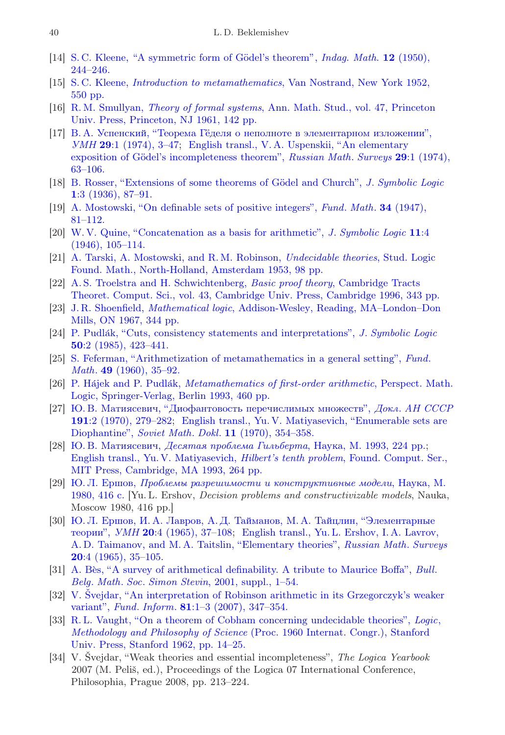- <span id="page-39-7"></span>[14] S. C. Kleene, "A symmetric form of Gödel's theorem", *Indaq. Math.* 12 (1950), [244–246.](http://www.zentralblatt-math.org/zmath/search/?an=Zbl 0038.03101)
- <span id="page-39-0"></span>[15] S. C. Kleene, [Introduction to metamathematics](http://www.zentralblatt-math.org/zmath/search/?an=Zbl 0047.00703), Van Nostrand, New York 1952, [550 pp.](http://www.zentralblatt-math.org/zmath/search/?an=Zbl 0047.00703)
- <span id="page-39-1"></span>[16] R. M. Smullyan, Theory of formal systems[, Ann. Math. Stud., vol. 47, Princeton](http://www.zentralblatt-math.org/zmath/search/?an=Zbl 0097.24503) [Univ. Press, Princeton, NJ 1961, 142 pp.](http://www.zentralblatt-math.org/zmath/search/?an=Zbl 0097.24503)
- <span id="page-39-2"></span>[17] [В. А. Успенский, "Теорема Гёделя о неполноте в элементарном изложении",](http://mi.mathnet.ru/eng/rm4322) УМН 29[:1 \(1974\), 3–47;](http://mi.mathnet.ru/eng/rm4322) [English transl., V. A. Uspenskii, "An elementary](http://dx.doi.org/10.1070/RM1974v029n01ABEH001280) exposition of Gödel's incompleteness theorem", Russian Math. Surveys 29:1 (1974), [63–106.](http://dx.doi.org/10.1070/RM1974v029n01ABEH001280)
- <span id="page-39-3"></span>[18] B. Rosser, "Extensions of some theorems of Gödel and Church", J. Symbolic Logic 1[:3 \(1936\), 87–91.](http://dx.doi.org/10.2307/2269028)
- <span id="page-39-4"></span>[19] [A. Mostowski, "On definable sets of positive integers",](http://www.zentralblatt-math.org/zmath/search/?an=Zbl 0031.19401) Fund. Math. 34 (1947), [81–112.](http://www.zentralblatt-math.org/zmath/search/?an=Zbl 0031.19401)
- <span id="page-39-5"></span>[20] [W. V. Quine, "Concatenation as a basis for arithmetic",](http://dx.doi.org/10.2307/2268308) J. Symbolic Logic 11:4 [\(1946\), 105–114.](http://dx.doi.org/10.2307/2268308)
- <span id="page-39-6"></span>[21] [A. Tarski, A. Mostowski, and R. M. Robinson,](http://www.zentralblatt-math.org/zmath/search/?an=Zbl 0053.00401) Undecidable theories, Stud. Logic [Found. Math., North-Holland, Amsterdam 1953, 98 pp.](http://www.zentralblatt-math.org/zmath/search/?an=Zbl 0053.00401)
- <span id="page-39-8"></span>[22] [A. S. Troelstra and H. Schwichtenberg,](http://www.zentralblatt-math.org/zmath/search/?an=Zbl 0868.03024) Basic proof theory, Cambridge Tracts [Theoret. Comput. Sci., vol. 43, Cambridge Univ. Press, Cambridge 1996, 343 pp.](http://www.zentralblatt-math.org/zmath/search/?an=Zbl 0868.03024)
- <span id="page-39-9"></span>[23] J. R. Shoenfield, Mathematical logic[, Addison-Wesley, Reading, MA–London–Don](http://www.zentralblatt-math.org/zmath/search/?an=Zbl 0155.01102) [Mills, ON 1967, 344 pp.](http://www.zentralblatt-math.org/zmath/search/?an=Zbl 0155.01102)
- <span id="page-39-10"></span>[24] P. Pudlák, "Cuts, consistency statements and interpretations", J. Symbolic Logic 50[:2 \(1985\), 423–441.](http://dx.doi.org/10.2307/2274231)
- <span id="page-39-11"></span>[25] [S. Feferman, "Arithmetization of metamathematics in a general setting",](http://www.zentralblatt-math.org/zmath/search/?an=Zbl 0095.24301) Fund. Math. 49 [\(1960\), 35–92.](http://www.zentralblatt-math.org/zmath/search/?an=Zbl 0095.24301)
- <span id="page-39-12"></span>[26] P. Hajek and P. Pudlák, *[Metamathematics of first-order arithmetic](http://www.zentralblatt-math.org/zmath/search/?an=Zbl 0781.03047)*, Perspect. Math. [Logic, Springer-Verlag, Berlin 1993, 460 pp.](http://www.zentralblatt-math.org/zmath/search/?an=Zbl 0781.03047)
- <span id="page-39-13"></span>[27] [Ю. В. Матиясевич, "Диофантовость перечислимых множеств",](http://www.zentralblatt-math.org/zmath/search/?an=Zbl 0212.33401) Докл. АН СССР 191[:2 \(1970\), 279–282;](http://www.zentralblatt-math.org/zmath/search/?an=Zbl 0212.33401) [English transl., Yu. V. Matiyasevich, "Enumerable sets are](http://www.zentralblatt-math.org/zmath/search/?an=Zbl 0212.33401) Diophantine", Soviet Math. Dokl. 11 [\(1970\), 354–358.](http://www.zentralblatt-math.org/zmath/search/?an=Zbl 0212.33401)
- <span id="page-39-14"></span>[28] Ю. В. Матиясевич, [Десятая проблема Гильберта](http://www.zentralblatt-math.org/zmath/search/?an=Zbl 0790.03009), Наука, М. 1993, 224 pp[.;](http://www.zentralblatt-math.org/zmath/search/?an=Zbl 0790.03008) [English transl., Yu. V. Matiyasevich,](http://www.zentralblatt-math.org/zmath/search/?an=Zbl 0790.03008) Hilbert's tenth problem, Found. Comput. Ser., [MIT Press, Cambridge, MA 1993, 264 pp.](http://www.zentralblatt-math.org/zmath/search/?an=Zbl 0790.03008)
- <span id="page-39-15"></span>[29] Ю. Л. Ершов, [Проблемы разрешимости и конструктивные модели](http://www.zentralblatt-math.org/zmath/search/?an=Zbl 0495.03009), Наука, М. [1980, 416 с.](http://www.zentralblatt-math.org/zmath/search/?an=Zbl 0495.03009) [Yu. L. Ershov, Decision problems and constructivizable models, Nauka, Moscow 1980, 416 pp.]
- <span id="page-39-16"></span>[30] [Ю. Л. Ершов, И. А. Лавров, А. Д. Тайманов, М. А. Тайцлин, "Элементарные](http://mi.mathnet.ru/eng/rm6048) теории", УМН 20[:4 \(1965\), 37–108;](http://mi.mathnet.ru/eng/rm6048) [English transl., Yu. L. Ershov, I. A. Lavrov,](http://dx.doi.org/10.1070/RM1965v020n04ABEH001188) [A. D. Taimanov, and M. A. Taitslin, "Elementary theories",](http://dx.doi.org/10.1070/RM1965v020n04ABEH001188) Russian Math. Surveys 20[:4 \(1965\), 35–105.](http://dx.doi.org/10.1070/RM1965v020n04ABEH001188)
- <span id="page-39-17"></span>[31] A. Bès, "A survey of arithmetical definability. A tribute to Maurice Boffa", Bull. Belg. Math. Soc. Simon Stevin[, 2001, suppl., 1–54.](http://www.zentralblatt-math.org/zmath/search/?an=Zbl 1013.03071)
- <span id="page-39-18"></span>[32] V. [Svejdar, "An interpretation of Robinson arithmetic in its Grzegorczyk's weaker](http://www.zentralblatt-math.org/zmath/search/?an=Zbl 1135.03023) variant", Fund. Inform. 81[:1–3 \(2007\), 347–354.](http://www.zentralblatt-math.org/zmath/search/?an=Zbl 1135.03023)
- <span id="page-39-19"></span>[33] [R. L. Vaught, "On a theorem of Cobham concerning undecidable theories",](http://www.zentralblatt-math.org/zmath/search/?an=Zbl 0178.32303) Logic, Methodology and Philosophy of Science [\(Proc. 1960 Internat. Congr.\), Stanford](http://www.zentralblatt-math.org/zmath/search/?an=Zbl 0178.32303) [Univ. Press, Stanford 1962, pp. 14–25.](http://www.zentralblatt-math.org/zmath/search/?an=Zbl 0178.32303)
- [34] V. Svejdar, "Weak theories and essential incompleteness", The Logica Yearbook 2007 (M. Peliš, ed.), Proceedings of the Logica 07 International Conference, Philosophia, Prague 2008, pp. 213–224.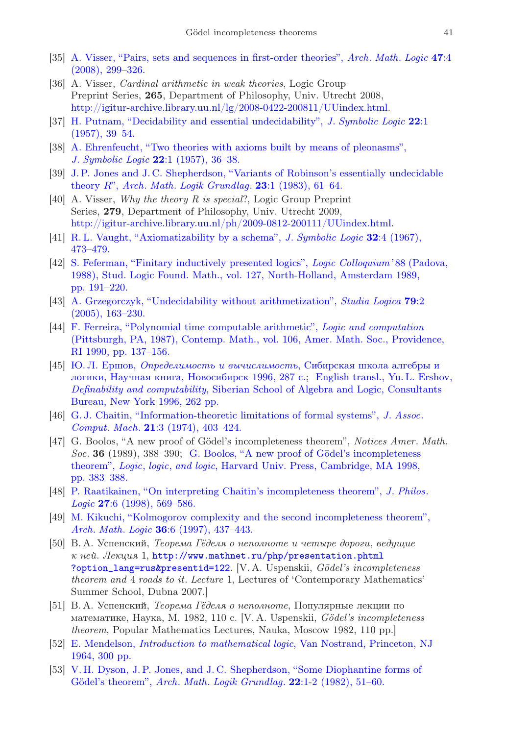- [35] [A. Visser, "Pairs, sets and sequences in first-order theories",](http://dx.doi.org/10.1007/s00153-008-0087-1) Arch. Math. Logic 47:4 [\(2008\), 299–326.](http://dx.doi.org/10.1007/s00153-008-0087-1)
- <span id="page-40-0"></span>[36] A. Visser, Cardinal arithmetic in weak theories, Logic Group Preprint Series, 265, Department of Philosophy, Univ. Utrecht 2008, [http://igitur-archive.library.uu.nl/lg/2008-0422-200811/UUindex.html.](http://igitur-archive.library.uu.nl/lg/2008-0422-200811/UUindex.html)
- <span id="page-40-1"></span>[37] [H. Putnam, "Decidability and essential undecidability",](http://dx.doi.org/10.2307/2964057) J. Symbolic Logic 22:1 [\(1957\), 39–54.](http://dx.doi.org/10.2307/2964057)
- <span id="page-40-2"></span>[38] [A. Ehrenfeucht, "Two theories with axioms built by means of pleonasms",](http://dx.doi.org/10.2307/2964056) J. Symbolic Logic 22[:1 \(1957\), 36–38.](http://dx.doi.org/10.2307/2964056)
- <span id="page-40-3"></span>[39] [J. P. Jones and J. C. Shepherdson, "Variants of Robinson's essentially undecidable](http://dx.doi.org/10.1007/BF02023013) theory  $R$ ", Arch. Math. Logik Grundlag.  $23:1$  (1983), 61–64.
- <span id="page-40-4"></span>[40] A. Visser, *Why the theory R is special*?, Logic Group Preprint Series, 279, Department of Philosophy, Univ. Utrecht 2009, [http://igitur-archive.library.uu.nl/ph/2009-0812-200111/UUindex.html.](http://igitur-archive.library.uu.nl/ph/2009-0812-200111/UUindex.html)
- <span id="page-40-5"></span>[41] [R. L. Vaught, "Axiomatizability by a schema",](http://dx.doi.org/10.2307/2270175) J. Symbolic Logic 32:4 (1967), [473–479.](http://dx.doi.org/10.2307/2270175)
- <span id="page-40-6"></span>[42] [S. Feferman, "Finitary inductively presented logics",](http://www.zentralblatt-math.org/zmath/search/?an=Zbl 0682.03031) Logic Colloquium' 88 (Padova, [1988\), Stud. Logic Found. Math., vol. 127, North-Holland, Amsterdam 1989,](http://www.zentralblatt-math.org/zmath/search/?an=Zbl 0682.03031) [pp. 191–220.](http://www.zentralblatt-math.org/zmath/search/?an=Zbl 0682.03031)
- <span id="page-40-7"></span>[43] [A. Grzegorczyk, "Undecidability without arithmetization",](http://dx.doi.org/10.1007/s11225-005-2976-1) Studia Logica 79:2 [\(2005\), 163–230.](http://dx.doi.org/10.1007/s11225-005-2976-1)
- <span id="page-40-8"></span>[44] [F. Ferreira, "Polynomial time computable arithmetic",](http://www.zentralblatt-math.org/zmath/search/?an=Zbl 0707.03032) Logic and computation [\(Pittsburgh, PA, 1987\), Contemp. Math., vol. 106, Amer. Math. Soc., Providence,](http://www.zentralblatt-math.org/zmath/search/?an=Zbl 0707.03032) [RI 1990, pp. 137–156.](http://www.zentralblatt-math.org/zmath/search/?an=Zbl 0707.03032)
- <span id="page-40-9"></span>[45] Ю. Л. Ершов, [Определимость и вычислимость](http://www.zentralblatt-math.org/zmath/search/?an=Zbl 0856.03039), Сибирская школа алгебры и [логики, Научная книга, Новосибирск 1996, 287 с.;](http://www.zentralblatt-math.org/zmath/search/?an=Zbl 0856.03039) [English transl., Yu. L. Ershov,](http://www.zentralblatt-math.org/zmath/search/?an=Zbl 0870.03019) Definability and computability[, Siberian School of Algebra and Logic, Consultants](http://www.zentralblatt-math.org/zmath/search/?an=Zbl 0870.03019) [Bureau, New York 1996, 262 pp.](http://www.zentralblatt-math.org/zmath/search/?an=Zbl 0870.03019)
- <span id="page-40-10"></span>[46] [G. J. Chaitin, "Information-theoretic limitations of formal systems",](http://dx.doi.org/10.1145/321832.321839) J. Assoc. Comput. Mach. 21[:3 \(1974\), 403–424.](http://dx.doi.org/10.1145/321832.321839)
- <span id="page-40-11"></span>[47] G. Boolos, "A new proof of Gödel's incompleteness theorem", Notices Amer. Math.  $Soc.$  36 (1989), 388–390; G. Boolos, "A new proof of Gödel's incompleteness theorem", Logic, logic, and logic[, Harvard Univ. Press, Cambridge, MA 1998,](http://www.zentralblatt-math.org/zmath/search/?an=Zbl 0972.03544) [pp. 383–388.](http://www.zentralblatt-math.org/zmath/search/?an=Zbl 0972.03544)
- <span id="page-40-12"></span>[48] [P. Raatikainen, "On interpreting Chaitin's incompleteness theorem",](http://dx.doi.org/10.1023/A:1004305315546) J. Philos. Logic 27[:6 \(1998\), 569–586.](http://dx.doi.org/10.1023/A:1004305315546)
- <span id="page-40-13"></span>[49] [M. Kikuchi, "Kolmogorov complexity and the second incompleteness theorem",](http://dx.doi.org/10.1007/s001530050074) Arch. Math. Logic 36[:6 \(1997\), 437–443.](http://dx.doi.org/10.1007/s001530050074)
- <span id="page-40-14"></span>[50] В. А. Успенский, Теорема Гёделя о неполноте и четыре дороги, ведущие к ней. Лекция 1, [http://www.mathnet.ru/php/presentation.phtml](http://www.mathnet.ru/php/presentation.phtml?option_lang=rus&presentid=122) [?option\\_lang=rus&presentid=122](http://www.mathnet.ru/php/presentation.phtml?option_lang=rus&presentid=122). [V. A. Uspenskii, Gödel's incompleteness theorem and 4 roads to it. Lecture 1, Lectures of 'Contemporary Mathematics' Summer School, Dubna 2007.]
- <span id="page-40-15"></span>[51] В. А. Успенский, Теорема Гёделя о неполноте, Популярные лекции по математике, Наука, М. 1982, 110 с. [V. A. Uspenskii, Gödel's incompleteness theorem, Popular Mathematics Lectures, Nauka, Moscow 1982, 110 pp.]
- <span id="page-40-16"></span>[52] E. Mendelson, [Introduction to mathematical logic](http://www.zentralblatt-math.org/zmath/search/?an=Zbl 0192.01901), Van Nostrand, Princeton, NJ [1964, 300 pp.](http://www.zentralblatt-math.org/zmath/search/?an=Zbl 0192.01901)
- <span id="page-40-17"></span>[53] [V. H. Dyson, J. P. Jones, and J. C. Shepherdson, "Some Diophantine forms of](http://dx.doi.org/10.1007/BF02318026) Gödel's theorem", Arch. Math. Logik Grundlag. 22:1-2 (1982), 51-60.